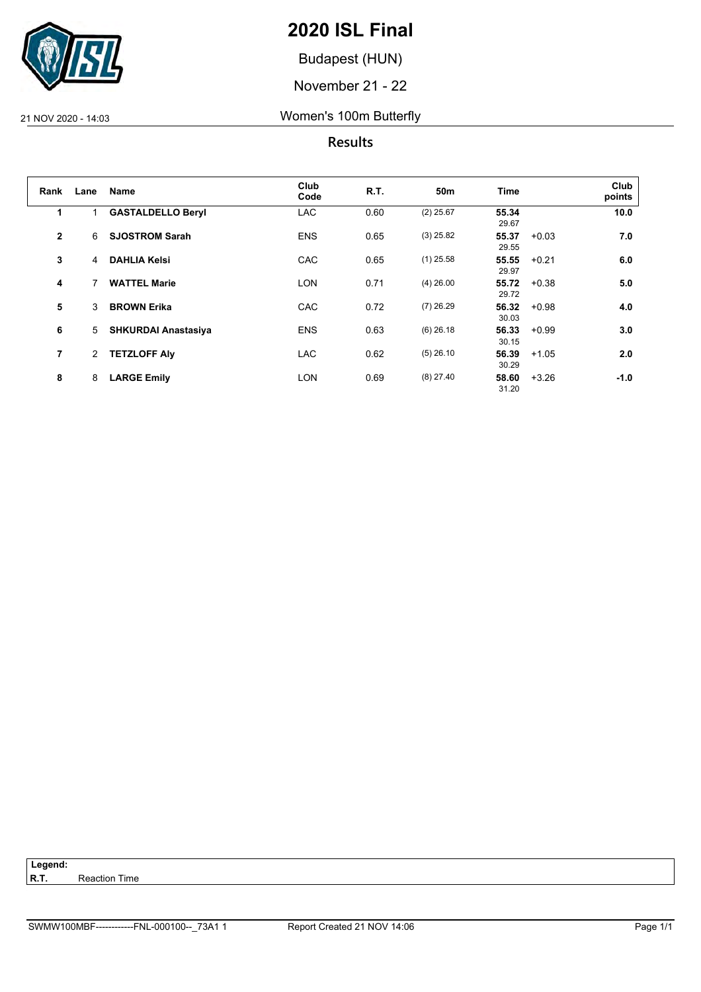

Budapest (HUN)

November 21 - 22

#### 21 NOV 2020 - 14:03 Women's 100m Butterfly

### **Results**

| Rank           | Lane           | <b>Name</b>                | Club<br>Code | R.T. | 50m         | Time           |         | Club<br>points |
|----------------|----------------|----------------------------|--------------|------|-------------|----------------|---------|----------------|
| 1              | 1              | <b>GASTALDELLO Beryl</b>   | <b>LAC</b>   | 0.60 | $(2)$ 25.67 | 55.34<br>29.67 |         | 10.0           |
| $\mathbf{2}$   | 6              | <b>SJOSTROM Sarah</b>      | <b>ENS</b>   | 0.65 | $(3)$ 25.82 | 55.37<br>29.55 | $+0.03$ | 7.0            |
| 3              | $\overline{4}$ | <b>DAHLIA Kelsi</b>        | <b>CAC</b>   | 0.65 | $(1)$ 25.58 | 55.55<br>29.97 | $+0.21$ | 6.0            |
| 4              | 7              | <b>WATTEL Marie</b>        | <b>LON</b>   | 0.71 | $(4)$ 26.00 | 55.72<br>29.72 | $+0.38$ | 5.0            |
| 5              | 3              | <b>BROWN Erika</b>         | <b>CAC</b>   | 0.72 | $(7)$ 26.29 | 56.32<br>30.03 | $+0.98$ | 4.0            |
| 6              | 5              | <b>SHKURDAI Anastasiya</b> | <b>ENS</b>   | 0.63 | $(6)$ 26.18 | 56.33<br>30.15 | $+0.99$ | 3.0            |
| $\overline{7}$ | $\overline{2}$ | <b>TETZLOFF Alv</b>        | <b>LAC</b>   | 0.62 | $(5)$ 26.10 | 56.39<br>30.29 | $+1.05$ | 2.0            |
| 8              | 8              | <b>LARGE Emily</b>         | <b>LON</b>   | 0.69 | $(8)$ 27.40 | 58.60<br>31.20 | $+3.26$ | $-1.0$         |

Legend:<br>R.T. **Reaction Time**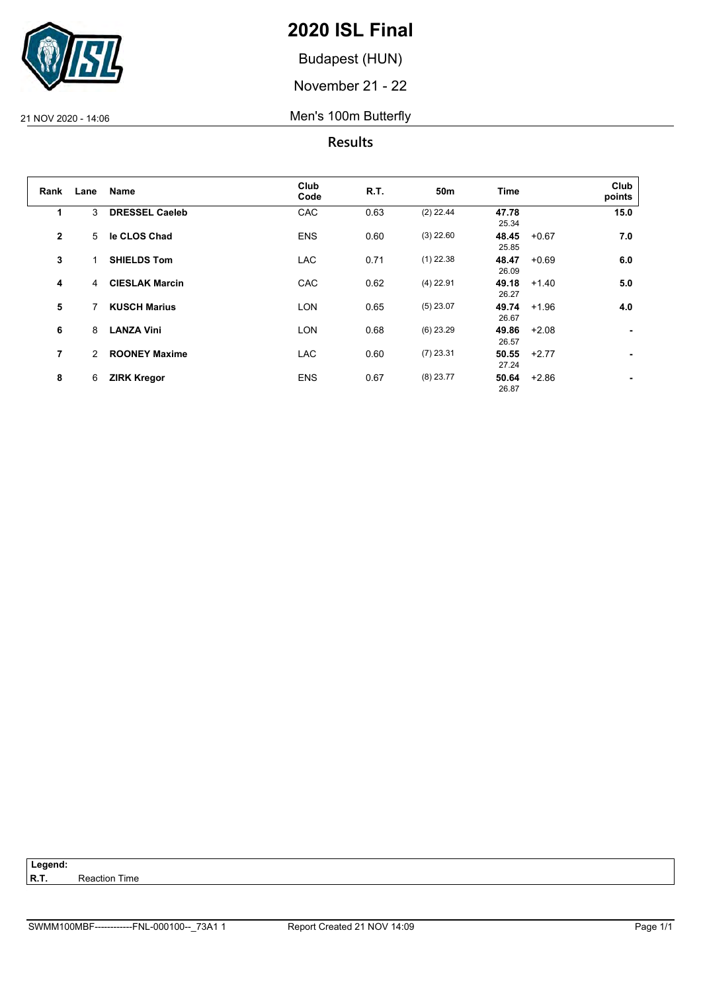

Budapest (HUN)

November 21 - 22

21 NOV 2020 - 14:06 Men's 100m Butterfly

**Results**

| Rank         | Lane | Name                  | Club<br>Code | R.T. | 50m         | <b>Time</b>    |         | Club<br>points |
|--------------|------|-----------------------|--------------|------|-------------|----------------|---------|----------------|
| 1            | 3    | <b>DRESSEL Caeleb</b> | CAC          | 0.63 | $(2)$ 22.44 | 47.78<br>25.34 |         | 15.0           |
| $\mathbf{2}$ | 5    | le CLOS Chad          | <b>ENS</b>   | 0.60 | $(3)$ 22.60 | 48.45<br>25.85 | $+0.67$ | 7.0            |
| 3            | 1    | <b>SHIELDS Tom</b>    | <b>LAC</b>   | 0.71 | $(1)$ 22.38 | 48.47<br>26.09 | $+0.69$ | 6.0            |
| 4            | 4    | <b>CIESLAK Marcin</b> | CAC          | 0.62 | $(4)$ 22.91 | 49.18<br>26.27 | $+1.40$ | 5.0            |
| 5            | 7    | <b>KUSCH Marius</b>   | <b>LON</b>   | 0.65 | $(5)$ 23.07 | 49.74<br>26.67 | $+1.96$ | 4.0            |
| 6            | 8    | <b>LANZA Vini</b>     | <b>LON</b>   | 0.68 | $(6)$ 23.29 | 49.86<br>26.57 | $+2.08$ | ۰.             |
| 7            | 2    | <b>ROONEY Maxime</b>  | <b>LAC</b>   | 0.60 | $(7)$ 23.31 | 50.55<br>27.24 | $+2.77$ | ۰.             |
| 8            | 6    | <b>ZIRK Kregor</b>    | <b>ENS</b>   | 0.67 | $(8)$ 23.77 | 50.64<br>26.87 | $+2.86$ | ٠              |

Legend:<br>R.T. **Reaction Time**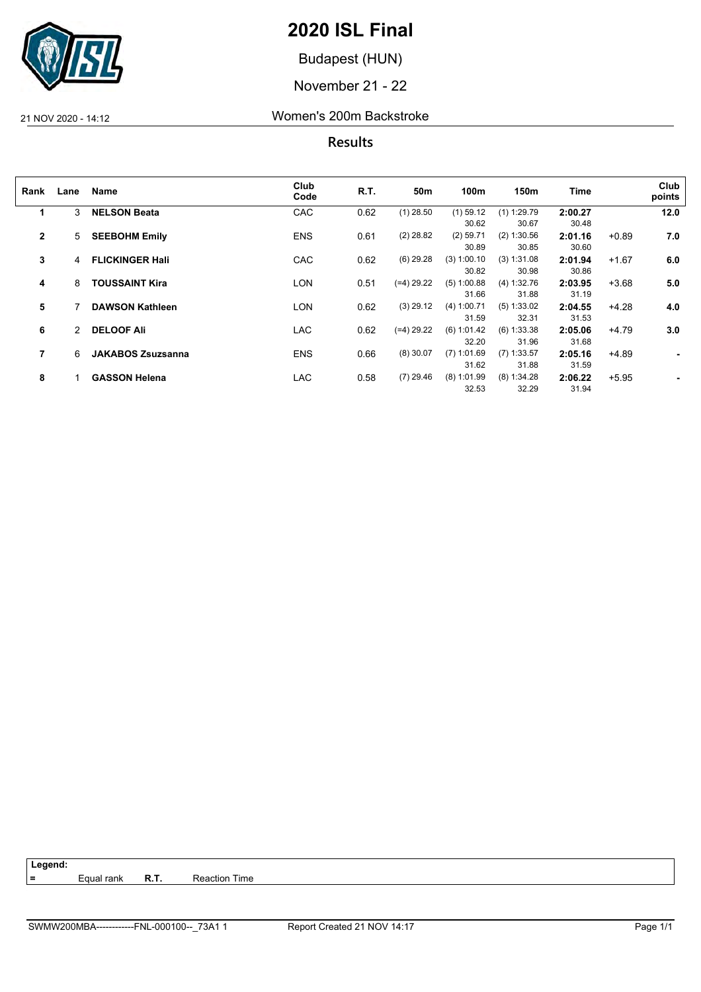

Budapest (HUN)

November 21 - 22

#### 21 NOV 2020 - 14:12 Women's 200m Backstroke

**Results**

| Rank           | Lane | Name                     | Club<br>Code | R.T. | 50m         | 100m          | 150m          | Time    |         | Club<br>points |
|----------------|------|--------------------------|--------------|------|-------------|---------------|---------------|---------|---------|----------------|
| 1              | 3    | <b>NELSON Beata</b>      | CAC          | 0.62 | $(1)$ 28.50 | $(1)$ 59.12   | $(1)$ 1:29.79 | 2:00.27 |         | 12.0           |
|                |      |                          |              |      |             | 30.62         | 30.67         | 30.48   |         |                |
| $\mathbf{2}$   | 5    | <b>SEEBOHM Emily</b>     | <b>ENS</b>   | 0.61 | $(2)$ 28.82 | $(2)$ 59.71   | (2) 1:30.56   | 2:01.16 | $+0.89$ | 7.0            |
|                |      |                          |              |      |             | 30.89         | 30.85         | 30.60   |         |                |
| 3              | 4    | <b>FLICKINGER Hall</b>   | CAC          | 0.62 | $(6)$ 29.28 | (3) 1:00.10   | (3) 1:31.08   | 2:01.94 | $+1.67$ | 6.0            |
|                |      |                          |              |      |             | 30.82         | 30.98         | 30.86   |         |                |
| 4              | 8    | <b>TOUSSAINT Kira</b>    | LON          | 0.51 | (=4) 29.22  | $(5)$ 1:00.88 | (4) 1:32.76   | 2:03.95 | $+3.68$ | 5.0            |
|                |      |                          |              |      |             | 31.66         | 31.88         | 31.19   |         |                |
| 5              |      | <b>DAWSON Kathleen</b>   | LON          | 0.62 | $(3)$ 29.12 | (4) 1:00.71   | (5) 1:33.02   | 2:04.55 | $+4.28$ | 4.0            |
|                |      |                          |              |      |             | 31.59         | 32.31         | 31.53   |         |                |
| 6              | 2    | <b>DELOOF Ali</b>        | LAC          | 0.62 | (=4) 29.22  | (6) 1:01.42   | $(6)$ 1:33.38 | 2:05.06 | $+4.79$ | 3.0            |
|                |      |                          |              |      |             | 32.20         | 31.96         | 31.68   |         |                |
| $\overline{7}$ | 6    | <b>JAKABOS Zsuzsanna</b> | <b>ENS</b>   | 0.66 | $(8)$ 30.07 | $(7)$ 1:01.69 | $(7)$ 1:33.57 | 2:05.16 | $+4.89$ | $\blacksquare$ |
|                |      |                          |              |      |             | 31.62         | 31.88         | 31.59   |         |                |
| 8              |      | <b>GASSON Helena</b>     | LAC          | 0.58 | $(7)$ 29.46 | $(8)$ 1:01.99 | $(8)$ 1:34.28 | 2:06.22 | $+5.95$ |                |
|                |      |                          |              |      |             | 32.53         | 32.29         | 31.94   |         |                |

**=** Equal rank **R.T.** Reaction Time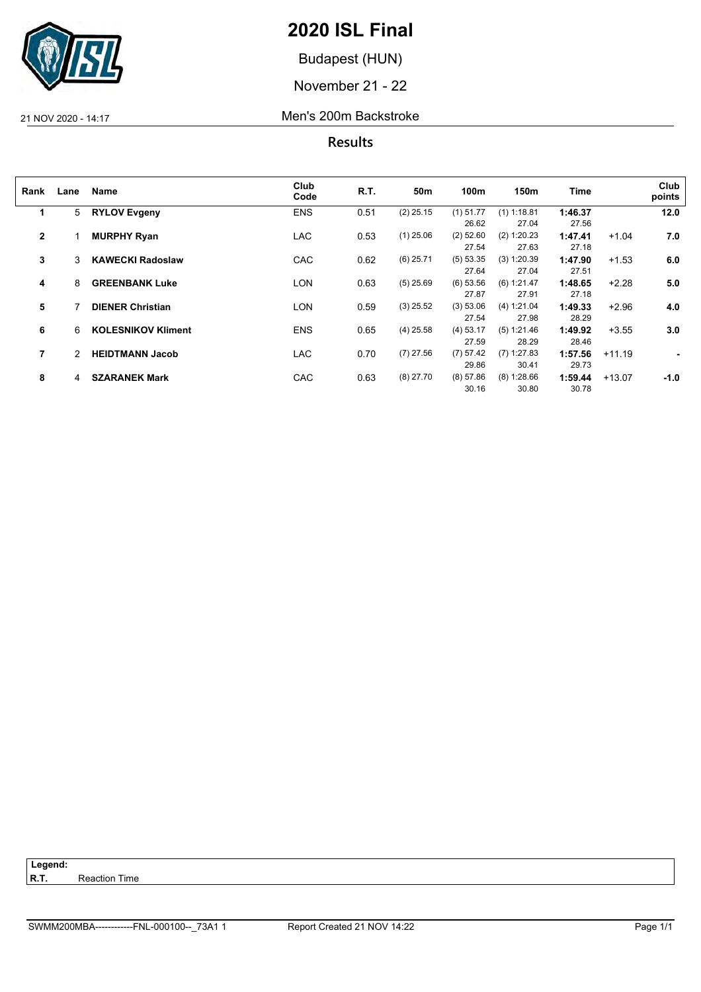

Budapest (HUN)

November 21 - 22

#### 21 NOV 2020 - 14:17 Men's 200m Backstroke

| Lane | Name                      | Club<br>Code                                                                                     | R.T.                                   | 50m                  | 100m                                      | 150m                                     | Time                                           |                                                 | Club<br>points                  |
|------|---------------------------|--------------------------------------------------------------------------------------------------|----------------------------------------|----------------------|-------------------------------------------|------------------------------------------|------------------------------------------------|-------------------------------------------------|---------------------------------|
| 5    |                           | <b>ENS</b>                                                                                       | 0.51                                   | $(2)$ 25.15          | $(1)$ 51.77                               | $(1)$ 1:18.81                            | 1:46.37                                        |                                                 | 12.0                            |
|      |                           |                                                                                                  |                                        |                      |                                           |                                          |                                                |                                                 |                                 |
|      | <b>MURPHY Ryan</b>        | <b>LAC</b>                                                                                       | 0.53                                   | $(1)$ 25.06          | $(2)$ 52.60                               | (2) 1:20.23                              | 1:47.41                                        | $+1.04$                                         | 7.0                             |
|      |                           |                                                                                                  |                                        |                      | 27.54                                     | 27.63                                    | 27.18                                          |                                                 |                                 |
| 3    | <b>KAWECKI Radoslaw</b>   | CAC                                                                                              | 0.62                                   | $(6)$ 25.71          | (5) 53.35                                 | $(3)$ 1:20.39                            | 1:47.90                                        | $+1.53$                                         | 6.0                             |
|      |                           |                                                                                                  |                                        |                      | 27.64                                     | 27.04                                    | 27.51                                          |                                                 |                                 |
| 8    | <b>GREENBANK Luke</b>     | <b>LON</b>                                                                                       | 0.63                                   | $(5)$ 25.69          | $(6)$ 53.56                               | (6) 1:21.47                              | 1:48.65                                        | $+2.28$                                         | 5.0                             |
|      |                           |                                                                                                  |                                        |                      | 27.87                                     | 27.91                                    | 27.18                                          |                                                 |                                 |
|      |                           | LON                                                                                              | 0.59                                   | $(3)$ 25.52          | (3) 53.06                                 | (4) 1:21.04                              | 1:49.33                                        | $+2.96$                                         | 4.0                             |
|      |                           |                                                                                                  |                                        |                      | 27.54                                     | 27.98                                    | 28.29                                          |                                                 |                                 |
| 6    | <b>KOLESNIKOV Kliment</b> |                                                                                                  |                                        |                      | $(4)$ 53.17                               | (5) 1:21.46                              |                                                |                                                 | 3.0                             |
|      |                           |                                                                                                  |                                        |                      | 27.59                                     | 28.29                                    | 28.46                                          |                                                 |                                 |
| 2    |                           |                                                                                                  |                                        |                      |                                           |                                          |                                                |                                                 | $\blacksquare$                  |
|      |                           |                                                                                                  |                                        |                      |                                           |                                          |                                                |                                                 |                                 |
|      |                           |                                                                                                  |                                        |                      |                                           |                                          |                                                |                                                 | $-1.0$                          |
|      |                           |                                                                                                  |                                        |                      | 30.16                                     | 30.80                                    | 30.78                                          |                                                 |                                 |
|      | 4                         | <b>RYLOV Evgeny</b><br><b>DIENER Christian</b><br><b>HEIDTMANN Jacob</b><br><b>SZARANEK Mark</b> | <b>ENS</b><br><b>LAC</b><br><b>CAC</b> | 0.65<br>0.70<br>0.63 | $(4)$ 25.58<br>$(7)$ 27.56<br>$(8)$ 27.70 | 26.62<br>(7) 57.42<br>29.86<br>(8) 57.86 | 27.04<br>$(7)$ 1:27.83<br>30.41<br>(8) 1:28.66 | 27.56<br>1:49.92<br>1:57.56<br>29.73<br>1:59.44 | $+3.55$<br>$+11.19$<br>$+13.07$ |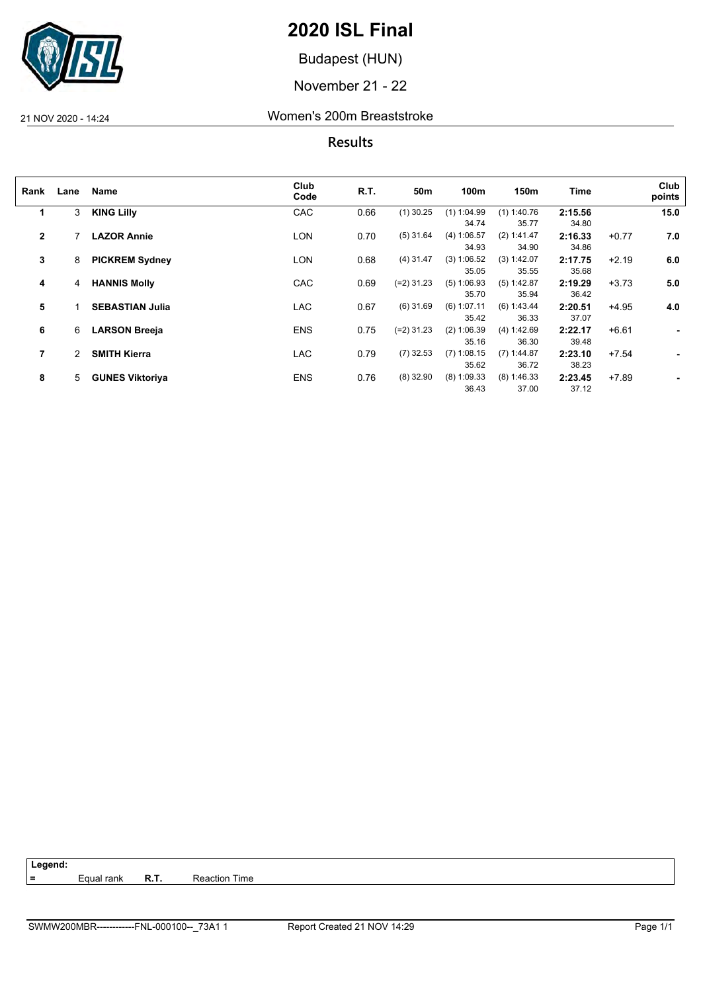

Budapest (HUN)

November 21 - 22

21 NOV 2020 - 14:24 Women's 200m Breaststroke

**Results**

| Rank         | Lane | Name                   | Club<br>Code | R.T. | 50m          | 100m          | 150m          | <b>Time</b> |         | Club<br>points |
|--------------|------|------------------------|--------------|------|--------------|---------------|---------------|-------------|---------|----------------|
| 1            | 3    | <b>KING Lilly</b>      | CAC          | 0.66 | $(1)$ 30.25  | $(1)$ 1:04.99 | $(1)$ 1:40.76 | 2:15.56     |         | 15.0           |
|              |      |                        |              |      |              | 34.74         | 35.77         | 34.80       |         |                |
| $\mathbf{2}$ |      | <b>LAZOR Annie</b>     | LON          | 0.70 | $(5)$ 31.64  | (4) 1:06.57   | (2) 1:41.47   | 2:16.33     | $+0.77$ | 7.0            |
|              |      |                        |              |      |              | 34.93         | 34.90         | 34.86       |         |                |
| 3            | 8    | <b>PICKREM Sydney</b>  | <b>LON</b>   | 0.68 | $(4)$ 31.47  | (3) 1:06.52   | (3) 1:42.07   | 2:17.75     | $+2.19$ | 6.0            |
|              |      |                        |              |      |              | 35.05         | 35.55         | 35.68       |         |                |
| 4            | 4    | <b>HANNIS Molly</b>    | <b>CAC</b>   | 0.69 | $(=2)$ 31.23 | $(5)$ 1:06.93 | $(5)$ 1:42.87 | 2:19.29     | $+3.73$ | 5.0            |
|              |      |                        |              |      |              | 35.70         | 35.94         | 36.42       |         |                |
| 5            |      | <b>SEBASTIAN Julia</b> | <b>LAC</b>   | 0.67 | $(6)$ 31.69  | $(6)$ 1:07.11 | (6) 1:43.44   | 2:20.51     | $+4.95$ | 4.0            |
|              |      |                        |              |      |              | 35.42         | 36.33         | 37.07       |         |                |
| 6            | 6    | <b>LARSON Breeja</b>   | <b>ENS</b>   | 0.75 | $(=2)$ 31.23 | $(2)$ 1:06.39 | (4) 1:42.69   | 2:22.17     | $+6.61$ | ٠              |
|              |      |                        |              |      |              | 35.16         | 36.30         | 39.48       |         |                |
| 7            | 2    | <b>SMITH Kierra</b>    | <b>LAC</b>   | 0.79 | $(7)$ 32.53  | $(7)$ 1:08.15 | $(7)$ 1:44.87 | 2:23.10     | $+7.54$ | ٠              |
|              |      |                        |              |      |              | 35.62         | 36.72         | 38.23       |         |                |
| 8            | 5    | <b>GUNES Viktoriya</b> | <b>ENS</b>   | 0.76 | $(8)$ 32.90  | $(8)$ 1:09.33 | $(8)$ 1:46.33 | 2:23.45     | $+7.89$ | ۰              |
|              |      |                        |              |      |              | 36.43         | 37.00         | 37.12       |         |                |

**=** Equal rank **R.T.** Reaction Time

SWMW200MBR------------FNL-000100--\_73A1 1 Report Created 21 NOV 14:29 Page 1/1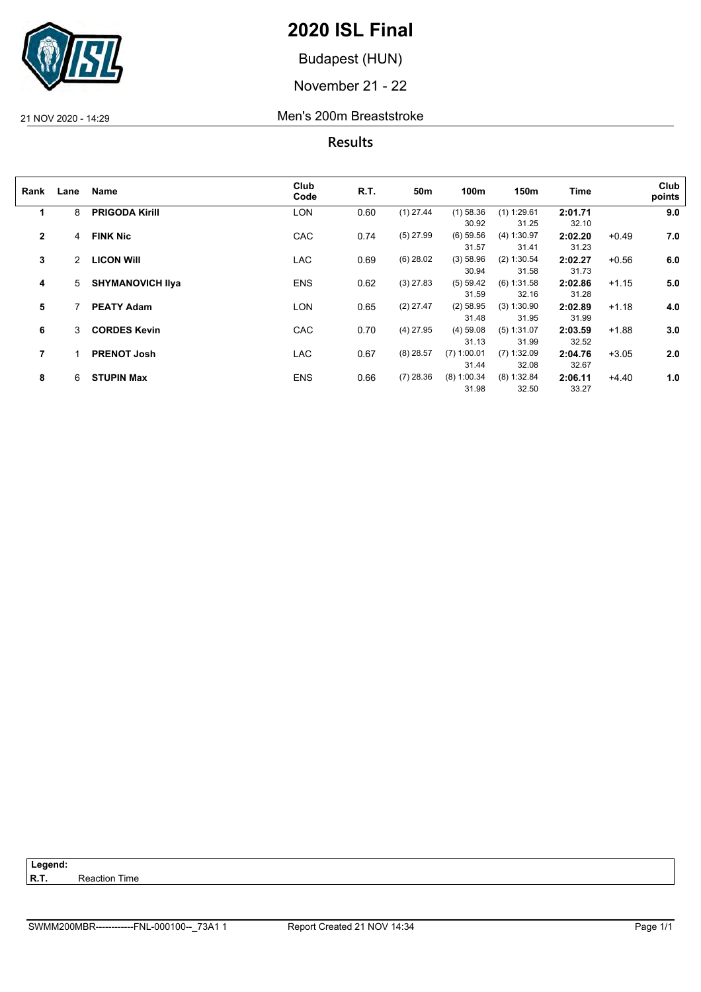

Budapest (HUN)

November 21 - 22

#### 21 NOV 2020 - 14:29 Men's 200m Breaststroke

**Results**

| Rank         | Lane | Name                    | Club<br>Code | R.T. | 50m         | 100m          | 150m          | Time    |         | Club<br>points |
|--------------|------|-------------------------|--------------|------|-------------|---------------|---------------|---------|---------|----------------|
| 1            | 8    | <b>PRIGODA Kirill</b>   | <b>LON</b>   | 0.60 | $(1)$ 27.44 | $(1)$ 58.36   | $(1)$ 1:29.61 | 2:01.71 |         | 9.0            |
|              |      |                         |              |      |             | 30.92         | 31.25         | 32.10   |         |                |
| $\mathbf{2}$ | 4    | <b>FINK Nic</b>         | <b>CAC</b>   | 0.74 | $(5)$ 27.99 | $(6)$ 59.56   | (4) 1:30.97   | 2:02.20 | $+0.49$ | 7.0            |
|              |      |                         |              |      |             | 31.57         | 31.41         | 31.23   |         |                |
| 3            | 2    | <b>LICON WIII</b>       | <b>LAC</b>   | 0.69 | $(6)$ 28.02 | (3) 58.96     | $(2)$ 1:30.54 | 2:02.27 | $+0.56$ | 6.0            |
|              |      |                         |              |      |             | 30.94         | 31.58         | 31.73   |         |                |
| 4            | 5    | <b>SHYMANOVICH IIva</b> | <b>ENS</b>   | 0.62 | $(3)$ 27.83 | (5) 59.42     | $(6)$ 1:31.58 | 2:02.86 | $+1.15$ | 5.0            |
|              |      |                         |              |      |             | 31.59         | 32.16         | 31.28   |         |                |
| 5            |      | <b>PEATY Adam</b>       | LON          | 0.65 | $(2)$ 27.47 | $(2)$ 58.95   | $(3)$ 1:30.90 | 2:02.89 | $+1.18$ | 4.0            |
|              |      |                         |              |      |             | 31.48         | 31.95         | 31.99   |         |                |
| 6            | 3    | <b>CORDES Kevin</b>     | <b>CAC</b>   | 0.70 | $(4)$ 27.95 | $(4)$ 59.08   | (5) 1:31.07   | 2:03.59 | $+1.88$ | 3.0            |
|              |      |                         |              |      |             | 31.13         | 31.99         | 32.52   |         |                |
| 7            |      | <b>PRENOT Josh</b>      | <b>LAC</b>   | 0.67 | $(8)$ 28.57 | $(7)$ 1:00.01 | $(7)$ 1:32.09 | 2:04.76 | $+3.05$ | 2.0            |
|              |      |                         |              |      |             | 31.44         | 32.08         | 32.67   |         |                |
| 8            | 6    | <b>STUPIN Max</b>       | <b>ENS</b>   | 0.66 | $(7)$ 28.36 | $(8)$ 1:00.34 | (8) 1:32.84   | 2:06.11 | $+4.40$ | 1.0            |
|              |      |                         |              |      |             | 31.98         | 32.50         | 33.27   |         |                |

**Reaction Time** 

Legend:<br>R.T.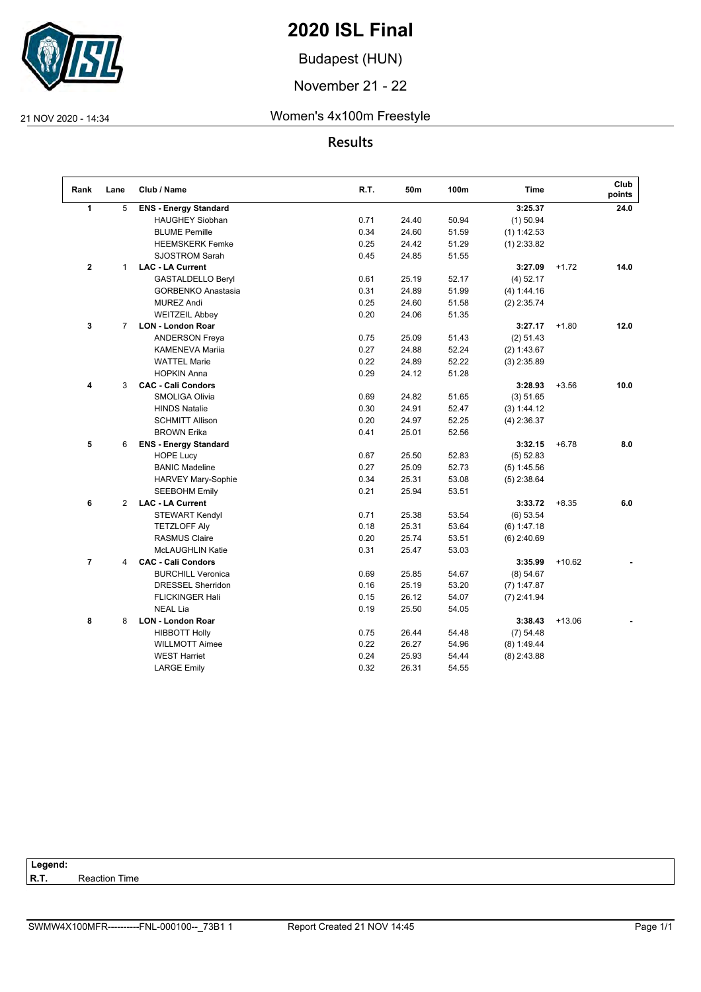

Budapest (HUN)

November 21 - 22

#### 21 NOV 2020 - 14:34 Women's 4x100m Freestyle

**Results**

| Rank        | Lane           | Club / Name                  | R.T. | 50m   | 100m  | <b>Time</b>   |          | Club<br>points |
|-------------|----------------|------------------------------|------|-------|-------|---------------|----------|----------------|
| 1           | 5              | <b>ENS - Energy Standard</b> |      |       |       | 3:25.37       |          | 24.0           |
|             |                | <b>HAUGHEY Siobhan</b>       | 0.71 | 24.40 | 50.94 | $(1)$ 50.94   |          |                |
|             |                | <b>BLUME Pernille</b>        | 0.34 | 24.60 | 51.59 | $(1)$ 1:42.53 |          |                |
|             |                | <b>HEEMSKERK Femke</b>       | 0.25 | 24.42 | 51.29 | $(1)$ 2:33.82 |          |                |
|             |                | <b>SJOSTROM Sarah</b>        | 0.45 | 24.85 | 51.55 |               |          |                |
| $\mathbf 2$ | $\mathbf{1}$   | <b>LAC - LA Current</b>      |      |       |       | 3:27.09       | $+1.72$  | 14.0           |
|             |                | <b>GASTALDELLO Beryl</b>     | 0.61 | 25.19 | 52.17 | $(4)$ 52.17   |          |                |
|             |                | <b>GORBENKO Anastasia</b>    | 0.31 | 24.89 | 51.99 | (4) 1:44.16   |          |                |
|             |                | <b>MUREZ Andi</b>            | 0.25 | 24.60 | 51.58 | $(2)$ 2:35.74 |          |                |
|             |                | <b>WEITZEIL Abbey</b>        | 0.20 | 24.06 | 51.35 |               |          |                |
| 3           | $\overline{7}$ | <b>LON - London Roar</b>     |      |       |       | 3:27.17       | $+1.80$  | 12.0           |
|             |                | <b>ANDERSON Freya</b>        | 0.75 | 25.09 | 51.43 | (2) 51.43     |          |                |
|             |                | <b>KAMENEVA Mariia</b>       | 0.27 | 24.88 | 52.24 | (2) 1:43.67   |          |                |
|             |                | <b>WATTEL Marie</b>          | 0.22 | 24.89 | 52.22 | $(3)$ 2:35.89 |          |                |
|             |                | <b>HOPKIN Anna</b>           | 0.29 | 24.12 | 51.28 |               |          |                |
| 4           | 3              | <b>CAC - Cali Condors</b>    |      |       |       | 3:28.93       | $+3.56$  | 10.0           |
|             |                | SMOLIGA Olivia               | 0.69 | 24.82 | 51.65 | (3) 51.65     |          |                |
|             |                | <b>HINDS Natalie</b>         | 0.30 | 24.91 | 52.47 | (3) 1:44.12   |          |                |
|             |                | <b>SCHMITT Allison</b>       | 0.20 | 24.97 | 52.25 | $(4)$ 2:36.37 |          |                |
|             |                | <b>BROWN Erika</b>           | 0.41 | 25.01 | 52.56 |               |          |                |
| 5           | 6              | <b>ENS - Energy Standard</b> |      |       |       | 3:32.15       | $+6.78$  | 8.0            |
|             |                | <b>HOPE Lucy</b>             | 0.67 | 25.50 | 52.83 | $(5)$ 52.83   |          |                |
|             |                | <b>BANIC Madeline</b>        | 0.27 | 25.09 | 52.73 | (5) 1:45.56   |          |                |
|             |                | <b>HARVEY Mary-Sophie</b>    | 0.34 | 25.31 | 53.08 | $(5)$ 2:38.64 |          |                |
|             |                | <b>SEEBOHM Emily</b>         | 0.21 | 25.94 | 53.51 |               |          |                |
| 6           | $\overline{2}$ | <b>LAC - LA Current</b>      |      |       |       | 3:33.72       | $+8.35$  | 6.0            |
|             |                | <b>STEWART Kendyl</b>        | 0.71 | 25.38 | 53.54 | $(6)$ 53.54   |          |                |
|             |                | <b>TETZLOFF Aly</b>          | 0.18 | 25.31 | 53.64 | (6) 1:47.18   |          |                |
|             |                | <b>RASMUS Claire</b>         | 0.20 | 25.74 | 53.51 | $(6)$ 2:40.69 |          |                |
|             |                | <b>McLAUGHLIN Katie</b>      | 0.31 | 25.47 | 53.03 |               |          |                |
| 7           | 4              | <b>CAC - Cali Condors</b>    |      |       |       | 3:35.99       | $+10.62$ |                |
|             |                | <b>BURCHILL Veronica</b>     | 0.69 | 25.85 | 54.67 | (8) 54.67     |          |                |
|             |                | <b>DRESSEL Sherridon</b>     | 0.16 | 25.19 | 53.20 | $(7)$ 1:47.87 |          |                |
|             |                | <b>FLICKINGER Hali</b>       | 0.15 | 26.12 | 54.07 | $(7)$ 2:41.94 |          |                |
|             |                | <b>NEAL Lia</b>              | 0.19 | 25.50 | 54.05 |               |          |                |
| 8           | 8              | <b>LON - London Roar</b>     |      |       |       | 3:38.43       | $+13.06$ |                |
|             |                | <b>HIBBOTT Holly</b>         | 0.75 | 26.44 | 54.48 | (7) 54.48     |          |                |
|             |                | <b>WILLMOTT Aimee</b>        | 0.22 | 26.27 | 54.96 | (8) 1:49.44   |          |                |
|             |                | <b>WEST Harriet</b>          | 0.24 | 25.93 | 54.44 | $(8)$ 2:43.88 |          |                |
|             |                | <b>LARGE Emily</b>           | 0.32 | 26.31 | 54.55 |               |          |                |

Legend:<br>R.T. **Reaction Time**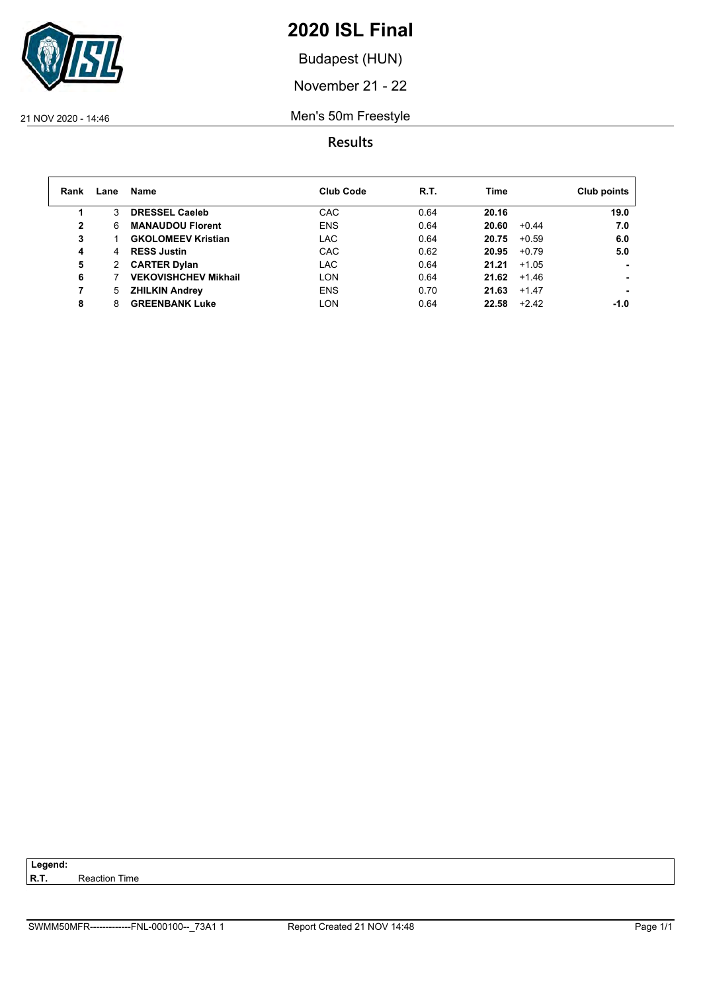

Budapest (HUN)

November 21 - 22

21 NOV 2020 - 14:46 Men's 50m Freestyle

### **Results**

| Rank | Lane | Name                        | <b>Club Code</b> | R.T. | <b>Time</b> |         | Club points |
|------|------|-----------------------------|------------------|------|-------------|---------|-------------|
|      | 3    | <b>DRESSEL Caeleb</b>       | CAC              | 0.64 | 20.16       |         | 19.0        |
| 2    | 6    | <b>MANAUDOU Florent</b>     | <b>ENS</b>       | 0.64 | 20.60       | $+0.44$ | 7.0         |
| 3    |      | <b>GKOLOMEEV Kristian</b>   | <b>LAC</b>       | 0.64 | 20.75       | $+0.59$ | 6.0         |
| 4    | 4    | <b>RESS Justin</b>          | CAC              | 0.62 | 20.95       | $+0.79$ | 5.0         |
| 5    | 2    | <b>CARTER Dylan</b>         | LAC              | 0.64 | 21.21       | $+1.05$ |             |
| 6    |      | <b>VEKOVISHCHEV Mikhail</b> | <b>LON</b>       | 0.64 | 21.62       | $+1.46$ |             |
| 7    | 5.   | <b>ZHILKIN Andrey</b>       | <b>ENS</b>       | 0.70 | 21.63       | $+1.47$ |             |
| 8    |      | <b>GREENBANK Luke</b>       | <b>LON</b>       | 0.64 | 22.58       | $+2.42$ | -1.0        |

**Reaction Time** 

Legend:<br>R.T.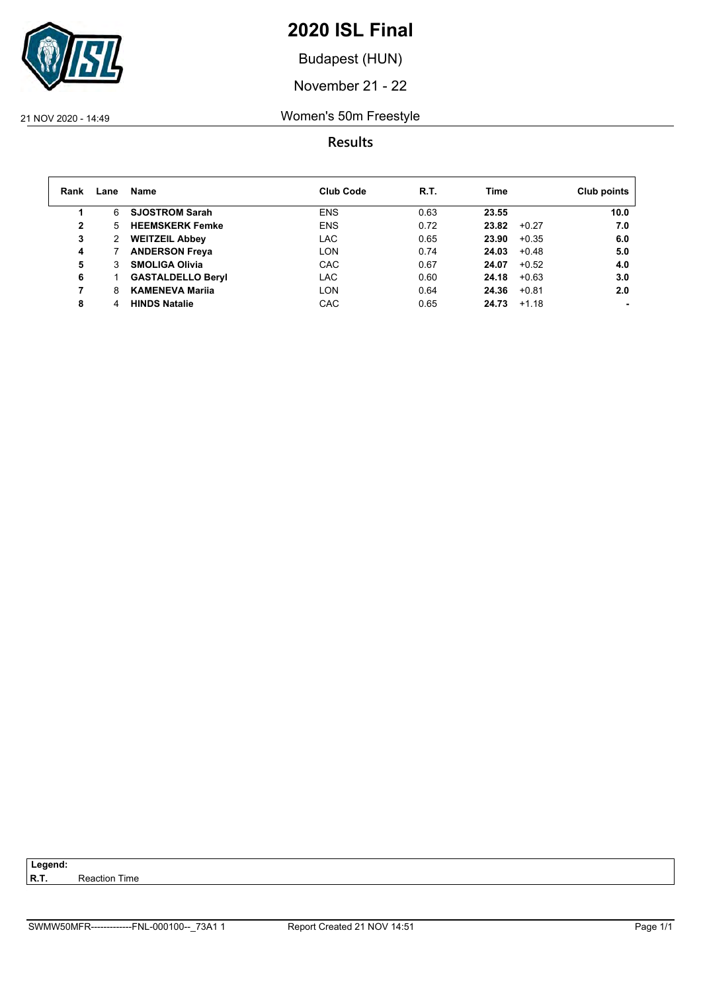

Budapest (HUN)

November 21 - 22

#### 21 NOV 2020 - 14:49 Women's 50m Freestyle

| Rank         | Lane | Name                     | <b>Club Code</b> | R.T. | Time             | Club points |
|--------------|------|--------------------------|------------------|------|------------------|-------------|
|              | 6    | <b>SJOSTROM Sarah</b>    | <b>ENS</b>       | 0.63 | 23.55            | 10.0        |
| $\mathbf{2}$ | 5.   | <b>HEEMSKERK Femke</b>   | <b>ENS</b>       | 0.72 | 23.82<br>$+0.27$ | 7.0         |
| 3            | 2    | <b>WEITZEIL Abbey</b>    | LAC              | 0.65 | 23.90<br>$+0.35$ | 6.0         |
| 4            |      | <b>ANDERSON Freya</b>    | LON              | 0.74 | 24.03<br>$+0.48$ | 5.0         |
| 5            |      | <b>SMOLIGA Olivia</b>    | CAC              | 0.67 | 24.07<br>$+0.52$ | 4.0         |
| 6            |      | <b>GASTALDELLO Beryl</b> | <b>LAC</b>       | 0.60 | 24.18<br>$+0.63$ | 3.0         |
| 7            | 8    | <b>KAMENEVA Marija</b>   | LON              | 0.64 | 24.36<br>$+0.81$ | 2.0         |
| 8            | 4    | <b>HINDS Natalie</b>     | <b>CAC</b>       | 0.65 | 24.73<br>$+1.18$ |             |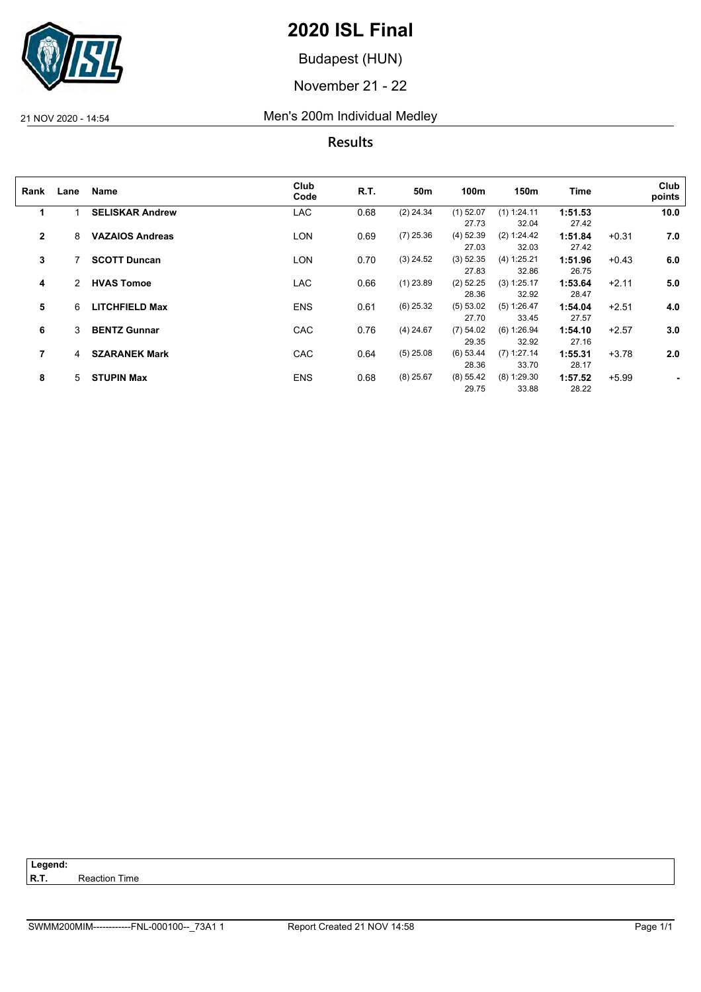

Budapest (HUN)

November 21 - 22

21 NOV 2020 - 14:54 Men's 200m Individual Medley

**Results**

| Rank         | Lane | Name                   | Club<br>Code | R.T. | 50m         | 100m        | 150m          | <b>Time</b> |         | Club<br>points |
|--------------|------|------------------------|--------------|------|-------------|-------------|---------------|-------------|---------|----------------|
| $\mathbf{1}$ |      | <b>SELISKAR Andrew</b> | <b>LAC</b>   | 0.68 | $(2)$ 24.34 | $(1)$ 52.07 | (1) 1:24.11   | 1:51.53     |         | 10.0           |
|              |      |                        |              |      |             | 27.73       | 32.04         | 27.42       |         |                |
| $\mathbf{2}$ | 8    | <b>VAZAIOS Andreas</b> | LON          | 0.69 | $(7)$ 25.36 | $(4)$ 52.39 | (2) 1:24.42   | 1:51.84     | $+0.31$ | 7.0            |
|              |      |                        |              |      |             | 27.03       | 32.03         | 27.42       |         |                |
| 3            |      | <b>SCOTT Duncan</b>    | LON          | 0.70 | $(3)$ 24.52 | (3) 52.35   | (4) 1:25.21   | 1:51.96     | $+0.43$ | 6.0            |
|              |      |                        |              |      |             | 27.83       | 32.86         | 26.75       |         |                |
| 4            | 2    | <b>HVAS Tomoe</b>      | <b>LAC</b>   | 0.66 | $(1)$ 23.89 | $(2)$ 52.25 | (3) 1:25.17   | 1:53.64     | $+2.11$ | 5.0            |
|              |      |                        |              |      |             | 28.36       | 32.92         | 28.47       |         |                |
| 5            | 6    | <b>LITCHFIELD Max</b>  | <b>ENS</b>   | 0.61 | $(6)$ 25.32 | (5) 53.02   | (5) 1:26.47   | 1:54.04     | $+2.51$ | 4.0            |
|              |      |                        |              |      |             | 27.70       | 33.45         | 27.57       |         |                |
| 6            | 3    | <b>BENTZ Gunnar</b>    | <b>CAC</b>   | 0.76 | $(4)$ 24.67 | (7) 54.02   | (6) 1:26.94   | 1:54.10     | $+2.57$ | 3.0            |
|              |      |                        |              |      |             | 29.35       | 32.92         | 27.16       |         |                |
| 7            | 4    | <b>SZARANEK Mark</b>   | <b>CAC</b>   | 0.64 | $(5)$ 25.08 | (6) 53.44   | $(7)$ 1:27.14 | 1:55.31     | $+3.78$ | 2.0            |
|              |      |                        |              |      |             | 28.36       | 33.70         | 28.17       |         |                |
| 8            | 5    | <b>STUPIN Max</b>      | <b>ENS</b>   | 0.68 | $(8)$ 25.67 | (8) 55.42   | $(8)$ 1:29.30 | 1:57.52     | $+5.99$ | ٠              |
|              |      |                        |              |      |             | 29.75       | 33.88         | 28.22       |         |                |

**Reaction Time** 

Legend:<br>R.T.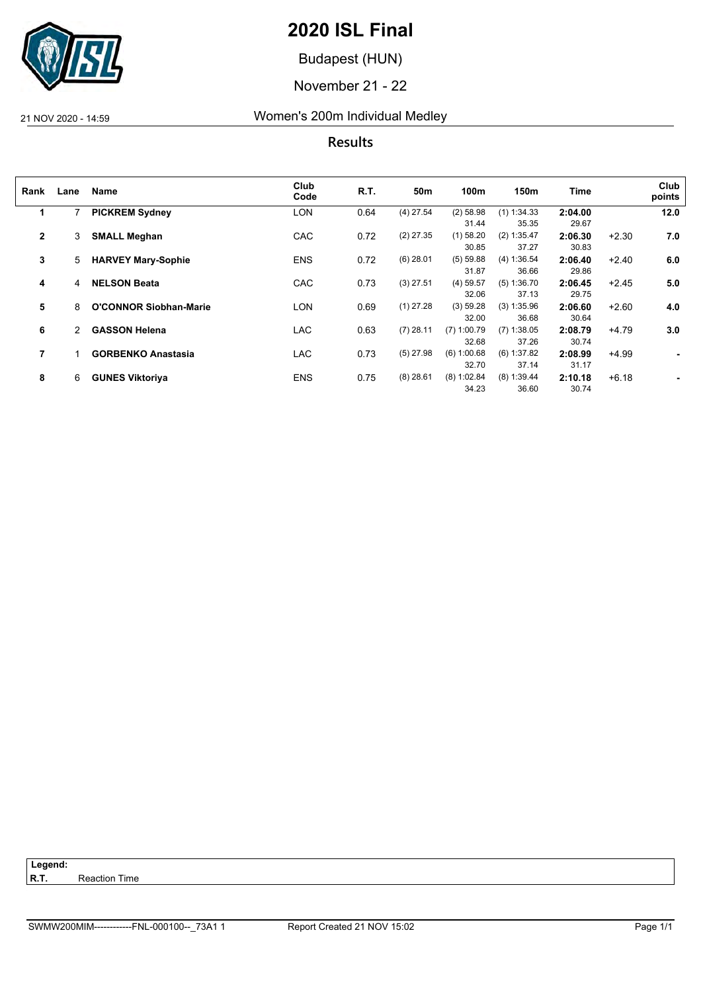

Budapest (HUN)

November 21 - 22

## 21 NOV 2020 - 14:59 Women's 200m Individual Medley

**Results**

| Rank         | Lane | Name                          | Club<br>Code | R.T. | 50m         | 100m          | 150m          | <b>Time</b> |         | Club<br>points |
|--------------|------|-------------------------------|--------------|------|-------------|---------------|---------------|-------------|---------|----------------|
| 1            |      | <b>PICKREM Sydney</b>         | LON          | 0.64 | $(4)$ 27.54 | $(2)$ 58.98   | $(1)$ 1:34.33 | 2:04.00     |         | 12.0           |
|              |      |                               |              |      |             | 31.44         | 35.35         | 29.67       |         |                |
| $\mathbf{2}$ | 3    | <b>SMALL Meghan</b>           | CAC          | 0.72 | $(2)$ 27.35 | $(1)$ 58.20   | $(2)$ 1:35.47 | 2:06.30     | $+2.30$ | 7.0            |
|              |      |                               |              |      |             | 30.85         | 37.27         | 30.83       |         |                |
| 3            | 5    | <b>HARVEY Mary-Sophie</b>     | <b>ENS</b>   | 0.72 | $(6)$ 28.01 | (5) 59.88     | (4) 1:36.54   | 2:06.40     | $+2.40$ | 6.0            |
|              |      |                               |              |      |             | 31.87         | 36.66         | 29.86       |         |                |
| 4            | 4    | <b>NELSON Beata</b>           | CAC          | 0.73 | $(3)$ 27.51 | $(4)$ 59.57   | (5) 1:36.70   | 2:06.45     | $+2.45$ | 5.0            |
|              |      |                               |              |      |             | 32.06         | 37.13         | 29.75       |         |                |
| 5            | 8    | <b>O'CONNOR Siobhan-Marie</b> | LON          | 0.69 | $(1)$ 27.28 | (3) 59.28     | $(3)$ 1:35.96 | 2:06.60     | $+2.60$ | 4.0            |
|              |      |                               |              |      |             | 32.00         | 36.68         | 30.64       |         |                |
| 6            | 2    | <b>GASSON Helena</b>          | <b>LAC</b>   | 0.63 | $(7)$ 28.11 | $(7)$ 1:00.79 | $(7)$ 1:38.05 | 2:08.79     | $+4.79$ | 3.0            |
|              |      |                               |              |      |             | 32.68         | 37.26         | 30.74       |         |                |
| 7            |      | <b>GORBENKO Anastasia</b>     | LAC          | 0.73 | $(5)$ 27.98 | (6) 1:00.68   | $(6)$ 1:37.82 | 2:08.99     | $+4.99$ | $\blacksquare$ |
|              |      |                               |              |      |             | 32.70         | 37.14         | 31.17       |         |                |
| 8            | 6    | <b>GUNES Viktoriya</b>        | <b>ENS</b>   | 0.75 | $(8)$ 28.61 | $(8)$ 1:02.84 | $(8)$ 1:39.44 | 2:10.18     | $+6.18$ |                |
|              |      |                               |              |      |             | 34.23         | 36.60         | 30.74       |         |                |

**Reaction Time** 

Legend:<br>R.T.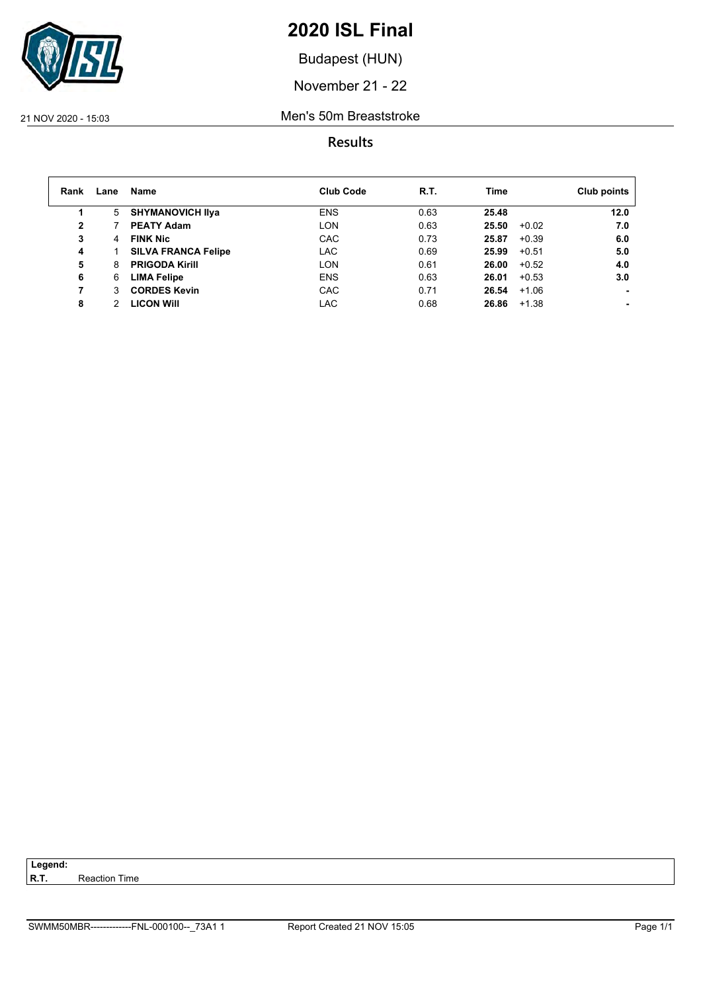

Budapest (HUN)

November 21 - 22

#### 21 NOV 2020 - 15:03 Men's 50m Breaststroke

| Rank | Lane | Name                       | <b>Club Code</b> | R.T. | Time  |         | Club points |
|------|------|----------------------------|------------------|------|-------|---------|-------------|
|      | 5    | <b>SHYMANOVICH IIva</b>    | <b>ENS</b>       | 0.63 | 25.48 |         | 12.0        |
| 2    |      | <b>PEATY Adam</b>          | <b>LON</b>       | 0.63 | 25.50 | $+0.02$ | 7.0         |
| 3    | 4    | <b>FINK Nic</b>            | CAC              | 0.73 | 25.87 | $+0.39$ | 6.0         |
| 4    |      | <b>SILVA FRANCA Felipe</b> | <b>LAC</b>       | 0.69 | 25.99 | $+0.51$ | 5.0         |
| 5    | 8    | <b>PRIGODA Kirill</b>      | <b>LON</b>       | 0.61 | 26.00 | $+0.52$ | 4.0         |
| 6    | 6    | <b>LIMA Felipe</b>         | <b>ENS</b>       | 0.63 | 26.01 | $+0.53$ | 3.0         |
| 7    | 3    | <b>CORDES Kevin</b>        | CAC              | 0.71 | 26.54 | $+1.06$ |             |
| 8    |      | <b>LICON WIII</b>          | LAC              | 0.68 | 26.86 | $+1.38$ |             |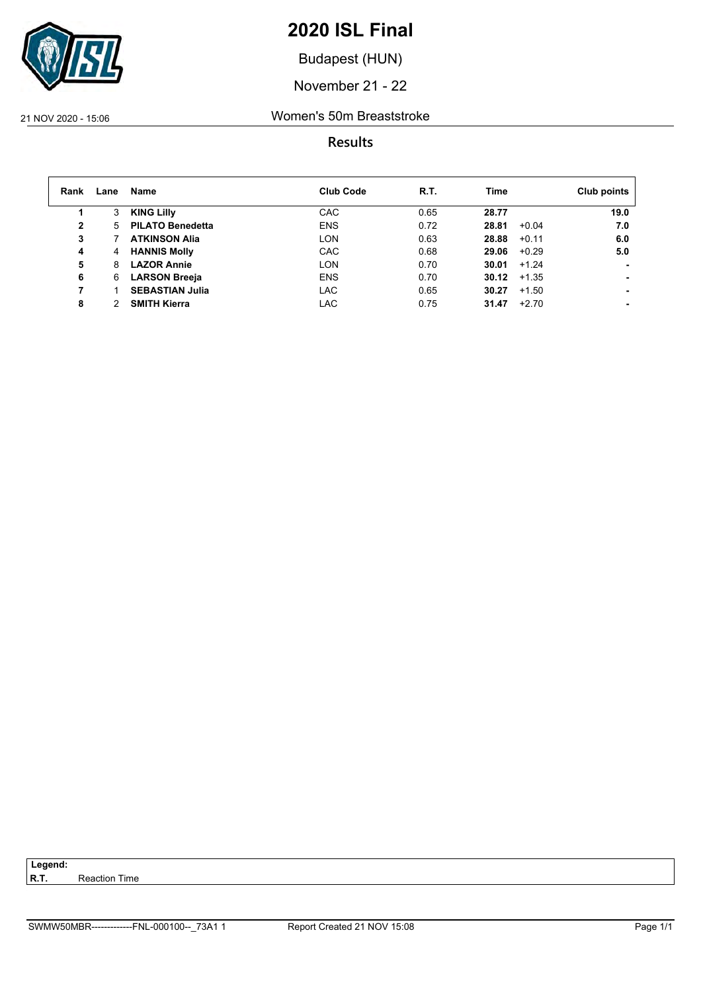

Budapest (HUN)

November 21 - 22

#### 21 NOV 2020 - 15:06 Women's 50m Breaststroke

| Rank         | Lane | Name                    | <b>Club Code</b> | R.T. | Time             | Club points |
|--------------|------|-------------------------|------------------|------|------------------|-------------|
|              | 3    | <b>KING Lilly</b>       | CAC              | 0.65 | 28.77            | 19.0        |
| $\mathbf{2}$ | 5.   | <b>PILATO Benedetta</b> | <b>ENS</b>       | 0.72 | 28.81<br>$+0.04$ | 7.0         |
| 3            |      | <b>ATKINSON Alia</b>    | <b>LON</b>       | 0.63 | 28.88<br>$+0.11$ | 6.0         |
| 4            | 4    | <b>HANNIS Molly</b>     | <b>CAC</b>       | 0.68 | $+0.29$<br>29.06 | 5.0         |
| 5            | 8    | <b>LAZOR Annie</b>      | <b>LON</b>       | 0.70 | 30.01<br>$+1.24$ |             |
| 6            | 6    | <b>LARSON Breeja</b>    | <b>ENS</b>       | 0.70 | 30.12<br>$+1.35$ |             |
| 7            |      | <b>SEBASTIAN Julia</b>  | LAC              | 0.65 | 30.27<br>$+1.50$ |             |
| 8            |      | <b>SMITH Kierra</b>     | LAC              | 0.75 | 31.47<br>$+2.70$ |             |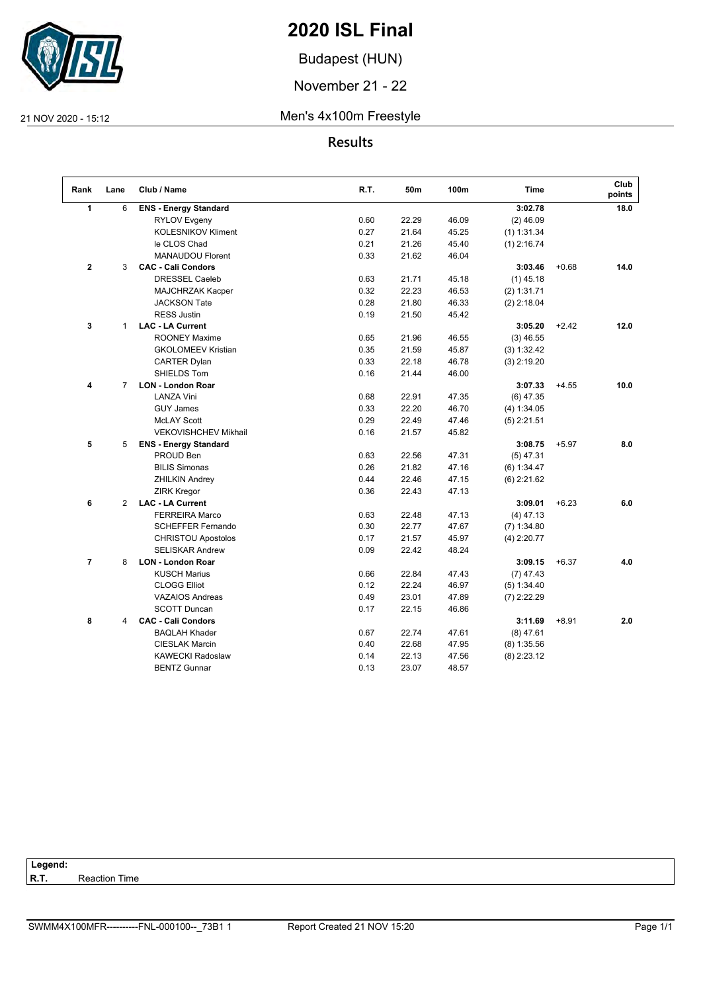

Budapest (HUN)

November 21 - 22

#### 21 NOV 2020 - 15:12 Men's 4x100m Freestyle

**Results**

| Rank           | Lane           | Club / Name                  | R.T. | 50m   | 100m  | <b>Time</b>   |         | Club<br>points |
|----------------|----------------|------------------------------|------|-------|-------|---------------|---------|----------------|
| $\mathbf{1}$   | 6              | <b>ENS - Energy Standard</b> |      |       |       | 3:02.78       |         | 18.0           |
|                |                | <b>RYLOV Evgeny</b>          | 0.60 | 22.29 | 46.09 | $(2)$ 46.09   |         |                |
|                |                | <b>KOLESNIKOV Kliment</b>    | 0.27 | 21.64 | 45.25 | $(1)$ 1:31.34 |         |                |
|                |                | le CLOS Chad                 | 0.21 | 21.26 | 45.40 | $(1)$ 2:16.74 |         |                |
|                |                | <b>MANAUDOU Florent</b>      | 0.33 | 21.62 | 46.04 |               |         |                |
| $\mathbf{2}$   | 3              | <b>CAC - Cali Condors</b>    |      |       |       | 3:03.46       | $+0.68$ | 14.0           |
|                |                | <b>DRESSEL Caeleb</b>        | 0.63 | 21.71 | 45.18 | $(1)$ 45.18   |         |                |
|                |                | MAJCHRZAK Kacper             | 0.32 | 22.23 | 46.53 | (2) 1:31.71   |         |                |
|                |                | <b>JACKSON Tate</b>          | 0.28 | 21.80 | 46.33 | $(2)$ 2:18.04 |         |                |
|                |                | <b>RESS Justin</b>           | 0.19 | 21.50 | 45.42 |               |         |                |
| 3              | $\mathbf{1}$   | <b>LAC - LA Current</b>      |      |       |       | 3:05.20       | $+2.42$ | 12.0           |
|                |                | <b>ROONEY Maxime</b>         | 0.65 | 21.96 | 46.55 | $(3)$ 46.55   |         |                |
|                |                | <b>GKOLOMEEV Kristian</b>    | 0.35 | 21.59 | 45.87 | (3) 1:32.42   |         |                |
|                |                | <b>CARTER Dylan</b>          | 0.33 | 22.18 | 46.78 | $(3)$ 2:19.20 |         |                |
|                |                | SHIELDS Tom                  | 0.16 | 21.44 | 46.00 |               |         |                |
| 4              | $\overline{7}$ | <b>LON - London Roar</b>     |      |       |       | 3:07.33       | $+4.55$ | 10.0           |
|                |                | <b>LANZA Vini</b>            | 0.68 | 22.91 | 47.35 | $(6)$ 47.35   |         |                |
|                |                | <b>GUY James</b>             | 0.33 | 22.20 | 46.70 | (4) 1:34.05   |         |                |
|                |                | <b>McLAY Scott</b>           | 0.29 | 22.49 | 47.46 | $(5)$ 2:21.51 |         |                |
|                |                | <b>VEKOVISHCHEV Mikhail</b>  | 0.16 | 21.57 | 45.82 |               |         |                |
| 5              | 5              | <b>ENS - Energy Standard</b> |      |       |       | 3:08.75       | $+5.97$ | 8.0            |
|                |                | PROUD Ben                    | 0.63 | 22.56 | 47.31 | $(5)$ 47.31   |         |                |
|                |                | <b>BILIS Simonas</b>         | 0.26 | 21.82 | 47.16 | (6) 1:34.47   |         |                |
|                |                | <b>ZHILKIN Andrey</b>        | 0.44 | 22.46 | 47.15 | $(6)$ 2:21.62 |         |                |
|                |                | <b>ZIRK Kregor</b>           | 0.36 | 22.43 | 47.13 |               |         |                |
| 6              | 2              | <b>LAC - LA Current</b>      |      |       |       | 3:09.01       | $+6.23$ | 6.0            |
|                |                | <b>FERREIRA Marco</b>        | 0.63 | 22.48 | 47.13 | $(4)$ 47.13   |         |                |
|                |                | <b>SCHEFFER Fernando</b>     | 0.30 | 22.77 | 47.67 | $(7)$ 1:34.80 |         |                |
|                |                | CHRISTOU Apostolos           | 0.17 | 21.57 | 45.97 | $(4)$ 2:20.77 |         |                |
|                |                | <b>SELISKAR Andrew</b>       | 0.09 | 22.42 | 48.24 |               |         |                |
| $\overline{7}$ | 8              | <b>LON - London Roar</b>     |      |       |       | 3:09.15       | $+6.37$ | 4.0            |
|                |                | <b>KUSCH Marius</b>          | 0.66 | 22.84 | 47.43 | $(7)$ 47.43   |         |                |
|                |                | <b>CLOGG Elliot</b>          | 0.12 | 22.24 | 46.97 | (5) 1:34.40   |         |                |
|                |                | <b>VAZAIOS Andreas</b>       | 0.49 | 23.01 | 47.89 | $(7)$ 2:22.29 |         |                |
|                |                | <b>SCOTT Duncan</b>          | 0.17 | 22.15 | 46.86 |               |         |                |
| 8              | 4              | <b>CAC - Cali Condors</b>    |      |       |       | 3:11.69       | $+8.91$ | 2.0            |
|                |                | <b>BAQLAH Khader</b>         | 0.67 | 22.74 | 47.61 | $(8)$ 47.61   |         |                |
|                |                | <b>CIESLAK Marcin</b>        | 0.40 | 22.68 | 47.95 | $(8)$ 1:35.56 |         |                |
|                |                | <b>KAWECKI Radoslaw</b>      | 0.14 | 22.13 | 47.56 | $(8)$ 2:23.12 |         |                |
|                |                | <b>BENTZ Gunnar</b>          | 0.13 | 23.07 | 48.57 |               |         |                |
|                |                |                              |      |       |       |               |         |                |

Legend:<br>R.T. **Reaction Time**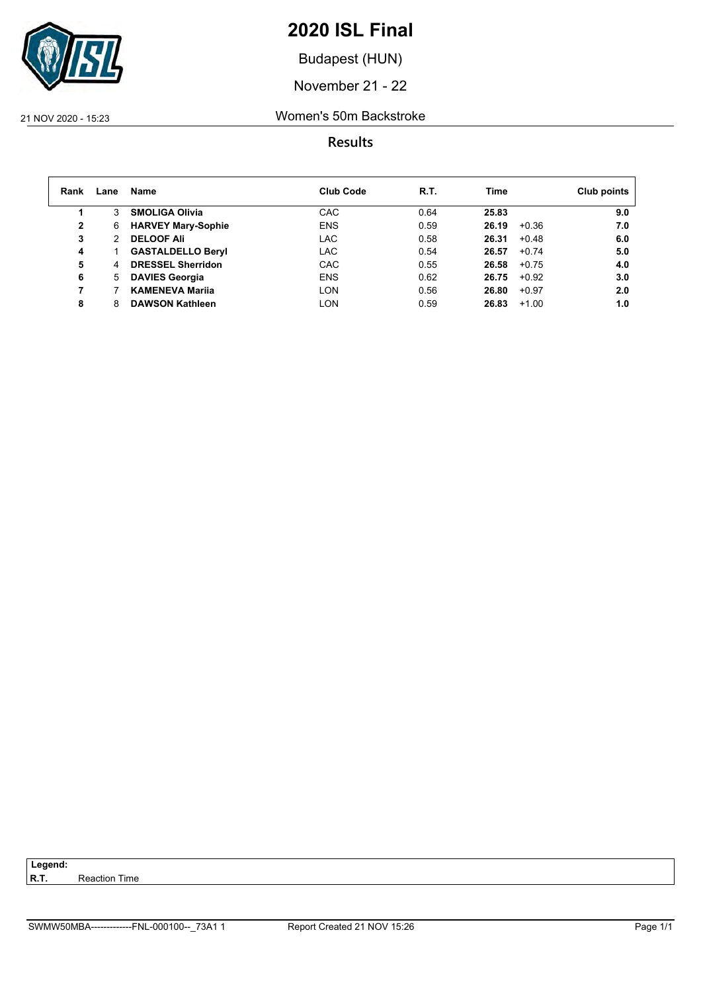

Budapest (HUN)

November 21 - 22

#### 21 NOV 2020 - 15:23 Women's 50m Backstroke

| Rank         | Lane | Name                      | <b>Club Code</b> | R.T. | Time             | Club points |
|--------------|------|---------------------------|------------------|------|------------------|-------------|
|              | 3    | <b>SMOLIGA Olivia</b>     | <b>CAC</b>       | 0.64 | 25.83            | 9.0         |
| $\mathbf{2}$ | 6    | <b>HARVEY Mary-Sophie</b> | <b>ENS</b>       | 0.59 | 26.19<br>+0.36   | 7.0         |
| 3            | 2    | <b>DELOOF Ali</b>         | LAC              | 0.58 | 26.31<br>$+0.48$ | 6.0         |
| 4            |      | <b>GASTALDELLO Beryl</b>  | <b>LAC</b>       | 0.54 | 26.57<br>$+0.74$ | 5.0         |
| 5            | 4    | <b>DRESSEL Sherridon</b>  | CAC              | 0.55 | 26.58<br>$+0.75$ | 4.0         |
| 6            | 5.   | <b>DAVIES Georgia</b>     | <b>ENS</b>       | 0.62 | $+0.92$<br>26.75 | 3.0         |
| 7            |      | <b>KAMENEVA Marija</b>    | LON              | 0.56 | 26.80<br>$+0.97$ | 2.0         |
| 8            |      | <b>DAWSON Kathleen</b>    | LON              | 0.59 | 26.83<br>$+1.00$ | 1.0         |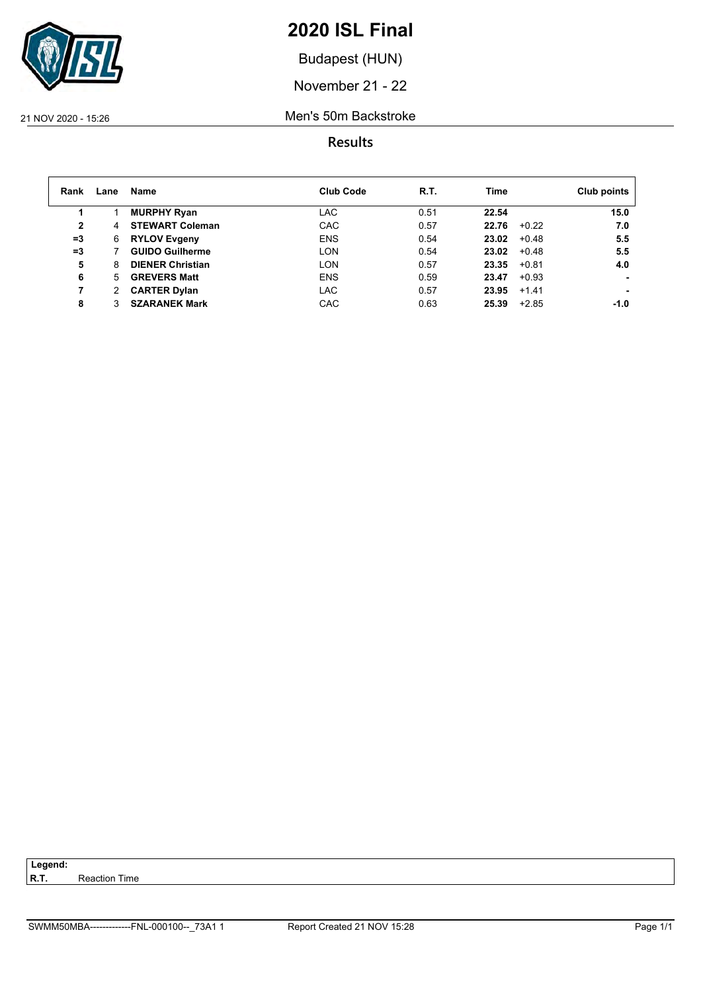

Budapest (HUN)

November 21 - 22

21 NOV 2020 - 15:26 Men's 50m Backstroke

| Rank         | Lane | <b>Name</b>             | <b>Club Code</b> | R.T. | Time             | Club points     |
|--------------|------|-------------------------|------------------|------|------------------|-----------------|
|              |      | <b>MURPHY Ryan</b>      | LAC              | 0.51 | 22.54            | 15.0            |
| $\mathbf{2}$ | 4    | <b>STEWART Coleman</b>  | <b>CAC</b>       | 0.57 | 22.76            | $+0.22$<br>7.0  |
| $=3$         | 6    | <b>RYLOV Evgeny</b>     | <b>ENS</b>       | 0.54 | 23.02            | 5.5<br>$+0.48$  |
| $=3$         |      | <b>GUIDO Guilherme</b>  | <b>LON</b>       | 0.54 | 23.02            | $+0.48$<br>5.5  |
| 5            | 8    | <b>DIENER Christian</b> | <b>LON</b>       | 0.57 | 23.35<br>$+0.81$ | 4.0             |
| 6            | 5.   | <b>GREVERS Matt</b>     | <b>ENS</b>       | 0.59 | 23.47            | $+0.93$         |
| 7            |      | <b>CARTER Dylan</b>     | LAC              | 0.57 | 23.95<br>$+1.41$ |                 |
| 8            |      | <b>SZARANEK Mark</b>    | <b>CAC</b>       | 0.63 | 25.39            | $+2.85$<br>-1.0 |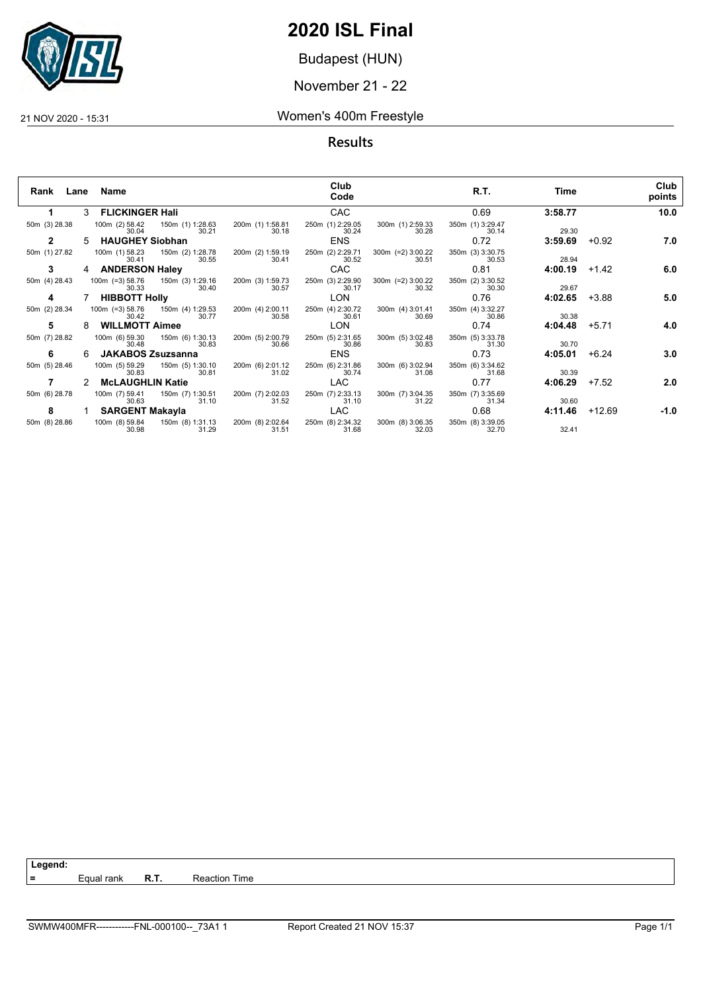

Budapest (HUN)

November 21 - 22

21 NOV 2020 - 15:31 Women's 400m Freestyle

**Results**

| Rank          | Lane | Name                     |                                           |                           | Club<br>Code              |                                | R.T.                      | Time    |          | Club<br>points |
|---------------|------|--------------------------|-------------------------------------------|---------------------------|---------------------------|--------------------------------|---------------------------|---------|----------|----------------|
| 1             |      | 3 FLICKINGER Hali        |                                           |                           | <b>CAC</b>                |                                | 0.69                      | 3:58.77 |          | 10.0           |
| 50m (3) 28.38 |      | 100m (2) 58.42<br>30.04  | 150m (1) 1:28.63<br>30.21                 | 200m (1) 1:58.81<br>30.18 | 250m (1) 2:29.05<br>30.24 | 300m (1) 2:59.33<br>30.28      | 350m (1) 3:29.47<br>30.14 | 29.30   |          |                |
| 2             | 5.   | <b>HAUGHEY Siobhan</b>   |                                           |                           | <b>ENS</b>                |                                | 0.72                      | 3:59.69 | $+0.92$  | 7.0            |
| 50m (1) 27.82 |      | 100m (1) 58.23<br>30.41  | 150m (2) 1:28.78<br>30.55                 | 200m (2) 1:59.19<br>30.41 | 250m (2) 2:29.71<br>30.52 | $300m$ (=2) $3:00.22$<br>30.51 | 350m (3) 3:30.75<br>30.53 | 28.94   |          |                |
| 3             |      | <b>ANDERSON Haley</b>    |                                           |                           | CAC                       |                                | 0.81                      | 4:00.19 | $+1.42$  | 6.0            |
| 50m (4) 28.43 |      | 30.33                    | 100m (=3) 58.76 150m (3) 1:29.16<br>30.40 | 200m (3) 1:59.73<br>30.57 | 250m (3) 2:29.90<br>30.17 | 300m (=2) 3:00.22<br>30.32     | 350m (2) 3:30.52<br>30.30 | 29.67   |          |                |
| 4             |      | <b>HIBBOTT Holly</b>     |                                           |                           | <b>LON</b>                |                                | 0.76                      | 4:02.65 | $+3.88$  | 5.0            |
| 50m (2) 28.34 |      | 30.42                    | 100m (=3) 58.76 150m (4) 1:29.53<br>30.77 | 200m (4) 2:00.11<br>30.58 | 250m (4) 2:30.72<br>30.61 | 300m (4) 3:01.41<br>30.69      | 350m (4) 3:32.27<br>30.86 | 30.38   |          |                |
| 5             |      | <b>WILLMOTT Aimee</b>    |                                           |                           | <b>LON</b>                |                                | 0.74                      | 4:04.48 | $+5.71$  | 4.0            |
| 50m (7) 28.82 |      | 100m (6) 59.30<br>30.48  | 150m (6) 1:30.13<br>30.83                 | 200m (5) 2:00.79<br>30.66 | 250m (5) 2:31.65<br>30.86 | 300m (5) 3:02.48<br>30.83      | 350m (5) 3:33.78<br>31.30 | 30.70   |          |                |
| 6             | 6.   | <b>JAKABOS Zsuzsanna</b> |                                           |                           | <b>ENS</b>                |                                | 0.73                      | 4:05.01 | $+6.24$  | 3.0            |
| 50m (5) 28.46 |      | 100m (5) 59.29<br>30.83  | 150m (5) 1:30.10<br>30.81                 | 200m (6) 2:01.12<br>31.02 | 250m (6) 2:31.86<br>30.74 | 300m (6) 3:02.94<br>31.08      | 350m (6) 3:34.62<br>31.68 | 30.39   |          |                |
|               |      | <b>McLAUGHLIN Katie</b>  |                                           |                           | <b>LAC</b>                |                                | 0.77                      | 4:06.29 | $+7.52$  | 2.0            |
| 50m (6) 28.78 |      | 100m (7) 59.41<br>30.63  | 150m (7) 1:30.51<br>31.10                 | 200m (7) 2:02.03<br>31.52 | 250m (7) 2:33.13<br>31.10 | 300m (7) 3:04.35<br>31.22      | 350m (7) 3:35.69<br>31.34 | 30.60   |          |                |
| 8             |      | <b>SARGENT Makayla</b>   |                                           |                           | <b>LAC</b>                |                                | 0.68                      | 4:11.46 | $+12.69$ | $-1.0$         |
| 50m (8) 28.86 |      | 30.98                    | 100m (8) 59.84 150m (8) 1:31.13<br>31.29  | 200m (8) 2:02.64<br>31.51 | 250m (8) 2:34.32<br>31.68 | 300m (8) 3:06.35<br>32.03      | 350m (8) 3:39.05<br>32.70 | 32.41   |          |                |

**Legend:**

**=** Equal rank **R.T.** Reaction Time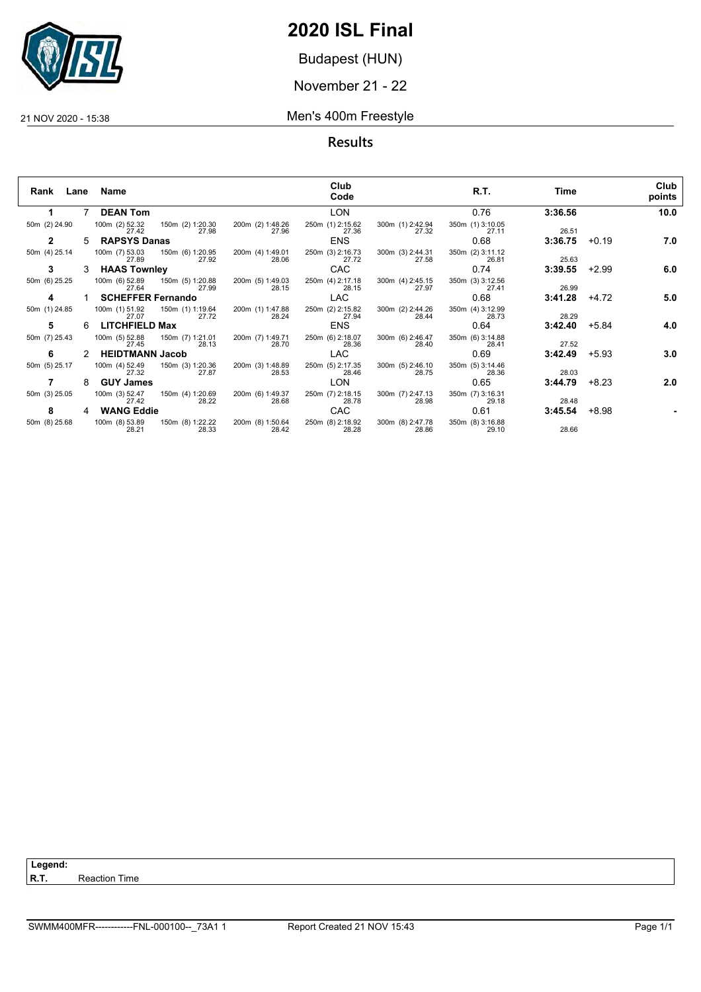

Budapest (HUN)

November 21 - 22

#### 21 NOV 2020 - 15:38 Men's 400m Freestyle

| Rank Lane     |    | Name                     |                                          |                           | Club<br>Code              |                           | R.T.                      | Time    |         | Club<br>points |
|---------------|----|--------------------------|------------------------------------------|---------------------------|---------------------------|---------------------------|---------------------------|---------|---------|----------------|
| 1.            | 7  | <b>DEAN Tom</b>          |                                          |                           | <b>LON</b>                |                           | 0.76                      | 3:36.56 |         | 10.0           |
| 50m (2) 24.90 |    | 100m (2) 52.32<br>27.42  | 150m (2) 1:20.30<br>27.98                | 200m (2) 1:48.26<br>27.96 | 250m (1) 2:15.62<br>27.36 | 300m (1) 2:42.94<br>27.32 | 350m (1) 3:10.05<br>27.11 | 26.51   |         |                |
| $\mathbf{2}$  | 5. | <b>RAPSYS Danas</b>      |                                          |                           | <b>ENS</b>                |                           | 0.68                      | 3:36.75 | $+0.19$ | 7.0            |
| 50m (4) 25.14 |    | 100m (7) 53.03<br>27.89  | 150m (6) 1:20.95<br>27.92                | 200m (4) 1:49.01<br>28.06 | 250m (3) 2:16.73<br>27.72 | 300m (3) 2:44.31<br>27.58 | 350m (2) 3:11.12<br>26.81 | 25.63   |         |                |
| 3             |    | <b>HAAS Townley</b>      |                                          |                           | <b>CAC</b>                |                           | 0.74                      | 3:39.55 | $+2.99$ | 6.0            |
| 50m (6) 25.25 |    | 27.64                    | 100m (6) 52.89 150m (5) 1:20.88<br>27.99 | 200m (5) 1:49.03<br>28.15 | 250m (4) 2:17.18<br>28.15 | 300m (4) 2:45.15<br>27.97 | 350m (3) 3:12.56<br>27.41 | 26.99   |         |                |
| 4             |    | <b>SCHEFFER Fernando</b> |                                          |                           | <b>LAC</b>                |                           | 0.68                      | 3:41.28 | +4.72   | 5.0            |
| 50m (1) 24.85 |    | 100m (1) 51.92<br>27.07  | 150m (1) 1:19.64<br>27.72                | 200m (1) 1:47.88<br>28.24 | 250m (2) 2:15.82<br>27.94 | 300m (2) 2:44.26<br>28.44 | 350m (4) 3:12.99<br>28.73 | 28.29   |         |                |
| 5             | 6  | <b>LITCHFIELD Max</b>    |                                          |                           | <b>ENS</b>                |                           | 0.64                      | 3:42.40 | +5.84   | 4.0            |
| 50m (7) 25.43 |    | 100m (5) 52.88<br>27.45  | 150m (7) 1:21.01<br>28.13                | 200m (7) 1:49.71<br>28.70 | 250m (6) 2:18.07<br>28.36 | 300m (6) 2:46.47<br>28.40 | 350m (6) 3:14.88<br>28.41 | 27.52   |         |                |
| 6             |    | <b>HEIDTMANN Jacob</b>   |                                          |                           | <b>LAC</b>                |                           | 0.69                      | 3:42.49 | $+5.93$ | 3.0            |
| 50m (5) 25.17 |    | 100m (4) 52.49<br>27.32  | 150m (3) 1:20.36<br>27.87                | 200m (3) 1:48.89<br>28.53 | 250m (5) 2:17.35<br>28.46 | 300m (5) 2:46.10<br>28.75 | 350m (5) 3:14.46<br>28.36 | 28.03   |         |                |
|               | 8  | <b>GUY James</b>         |                                          |                           | <b>LON</b>                |                           | 0.65                      | 3:44.79 | $+8.23$ | 2.0            |
| 50m (3) 25.05 |    | 100m (3) 52.47<br>27.42  | 150m (4) 1:20.69<br>28.22                | 200m (6) 1:49.37<br>28.68 | 250m (7) 2:18.15<br>28.78 | 300m (7) 2:47.13<br>28.98 | 350m (7) 3:16.31<br>29.18 | 28.48   |         |                |
| 8             | 4  | <b>WANG Eddie</b>        |                                          |                           | CAC                       |                           | 0.61                      | 3:45.54 | +8.98   |                |
| 50m (8) 25.68 |    | 100m (8) 53.89<br>28.21  | 150m (8) 1:22.22<br>28.33                | 200m (8) 1:50.64<br>28.42 | 250m (8) 2:18.92<br>28.28 | 300m (8) 2:47.78<br>28.86 | 350m (8) 3:16.88<br>29.10 | 28.66   |         |                |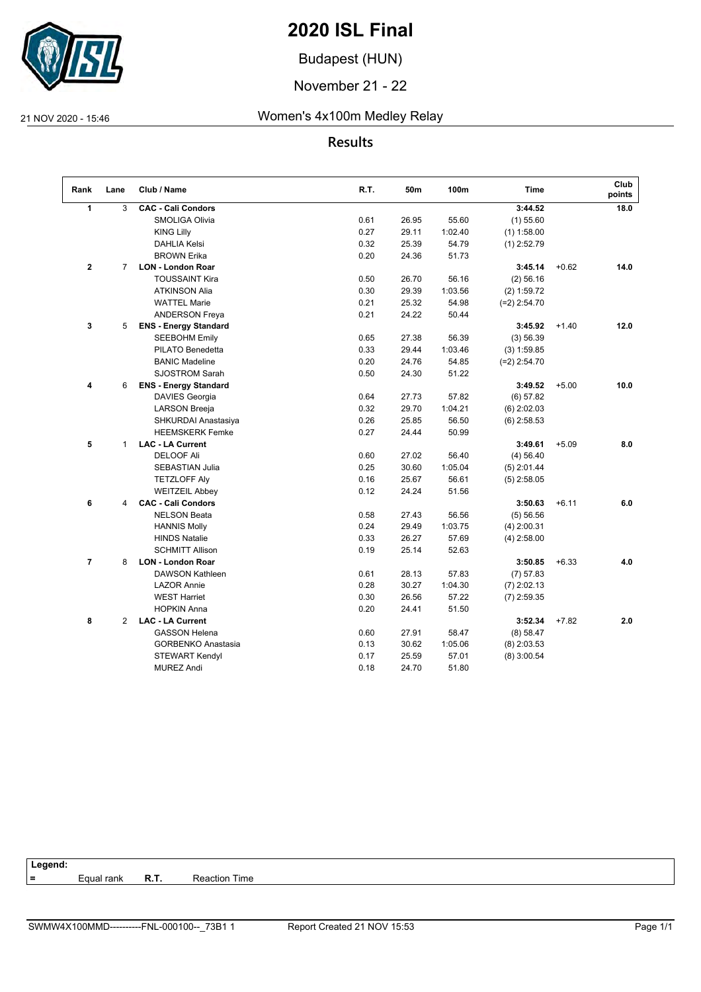

Budapest (HUN)

November 21 - 22

#### 21 NOV 2020 - 15:46 Women's 4x100m Medley Relay

### **Results**

| 18.0<br>14.0 |
|--------------|
|              |
|              |
|              |
|              |
|              |
|              |
|              |
|              |
|              |
|              |
| 12.0         |
|              |
|              |
|              |
|              |
| 10.0         |
|              |
|              |
|              |
|              |
| 8.0          |
|              |
|              |
|              |
|              |
| 6.0          |
|              |
|              |
|              |
|              |
| 4.0          |
|              |
|              |
|              |
|              |
| 2.0          |
|              |
|              |
|              |
|              |
|              |

#### **Legend:**

**=** Equal rank **R.T.** Reaction Time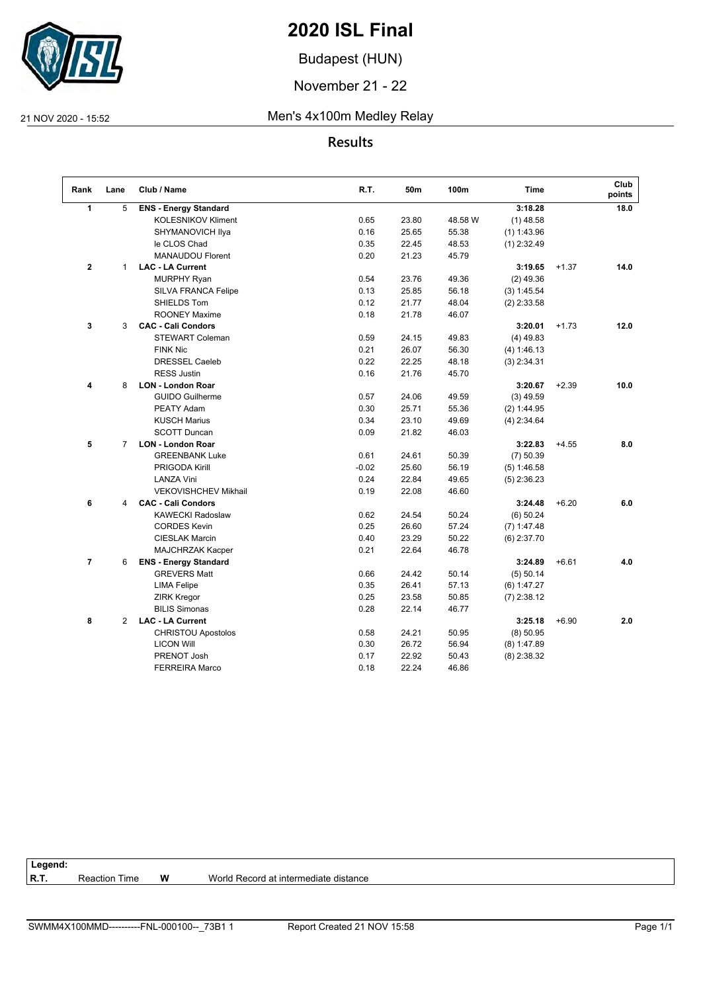

Budapest (HUN)

November 21 - 22

#### 21 NOV 2020 - 15:52 Men's 4x100m Medley Relay

## **Results**

| Rank    | Lane           | Club / Name                  | R.T.    | 50m   | 100m    | <b>Time</b>   |         | Club<br>points |
|---------|----------------|------------------------------|---------|-------|---------|---------------|---------|----------------|
| 1       | 5              | <b>ENS - Energy Standard</b> |         |       |         | 3:18.28       |         | 18.0           |
|         |                | <b>KOLESNIKOV Kliment</b>    | 0.65    | 23.80 | 48.58 W | $(1)$ 48.58   |         |                |
|         |                | SHYMANOVICH Ilya             | 0.16    | 25.65 | 55.38   | $(1)$ 1:43.96 |         |                |
|         |                | le CLOS Chad                 | 0.35    | 22.45 | 48.53   | $(1)$ 2:32.49 |         |                |
|         |                | <b>MANAUDOU Florent</b>      | 0.20    | 21.23 | 45.79   |               |         |                |
| $\bf 2$ | $\mathbf{1}$   | <b>LAC - LA Current</b>      |         |       |         | 3:19.65       | $+1.37$ | 14.0           |
|         |                | <b>MURPHY Ryan</b>           | 0.54    | 23.76 | 49.36   | $(2)$ 49.36   |         |                |
|         |                | <b>SILVA FRANCA Felipe</b>   | 0.13    | 25.85 | 56.18   | (3) 1:45.54   |         |                |
|         |                | SHIELDS Tom                  | 0.12    | 21.77 | 48.04   | $(2)$ 2:33.58 |         |                |
|         |                | <b>ROONEY Maxime</b>         | 0.18    | 21.78 | 46.07   |               |         |                |
| 3       | 3              | <b>CAC - Cali Condors</b>    |         |       |         | 3:20.01       | $+1.73$ | 12.0           |
|         |                | <b>STEWART Coleman</b>       | 0.59    | 24.15 | 49.83   | $(4)$ 49.83   |         |                |
|         |                | <b>FINK Nic</b>              | 0.21    | 26.07 | 56.30   | (4) 1:46.13   |         |                |
|         |                | <b>DRESSEL Caeleb</b>        | 0.22    | 22.25 | 48.18   | $(3)$ 2:34.31 |         |                |
|         |                | <b>RESS Justin</b>           | 0.16    | 21.76 | 45.70   |               |         |                |
| 4       | 8              | <b>LON - London Roar</b>     |         |       |         | 3:20.67       | $+2.39$ | 10.0           |
|         |                | <b>GUIDO Guilherme</b>       | 0.57    | 24.06 | 49.59   | $(3)$ 49.59   |         |                |
|         |                | PEATY Adam                   | 0.30    | 25.71 | 55.36   | (2) 1:44.95   |         |                |
|         |                | <b>KUSCH Marius</b>          | 0.34    | 23.10 | 49.69   | $(4)$ 2:34.64 |         |                |
|         |                | <b>SCOTT Duncan</b>          | 0.09    | 21.82 | 46.03   |               |         |                |
| 5       | $\overline{7}$ | <b>LON - London Roar</b>     |         |       |         | 3:22.83       | $+4.55$ | 8.0            |
|         |                | <b>GREENBANK Luke</b>        | 0.61    | 24.61 | 50.39   | $(7)$ 50.39   |         |                |
|         |                | PRIGODA Kirill               | $-0.02$ | 25.60 | 56.19   | (5) 1:46.58   |         |                |
|         |                | <b>LANZA Vini</b>            | 0.24    | 22.84 | 49.65   | $(5)$ 2:36.23 |         |                |
|         |                | <b>VEKOVISHCHEV Mikhail</b>  | 0.19    | 22.08 | 46.60   |               |         |                |
| 6       | 4              | <b>CAC - Cali Condors</b>    |         |       |         | 3:24.48       | $+6.20$ | 6.0            |
|         |                | <b>KAWECKI Radoslaw</b>      | 0.62    | 24.54 | 50.24   | $(6)$ 50.24   |         |                |
|         |                | <b>CORDES Kevin</b>          | 0.25    | 26.60 | 57.24   | $(7)$ 1:47.48 |         |                |
|         |                | <b>CIESLAK Marcin</b>        | 0.40    | 23.29 | 50.22   | $(6)$ 2:37.70 |         |                |
|         |                | MAJCHRZAK Kacper             | 0.21    | 22.64 | 46.78   |               |         |                |
| 7       | 6              | <b>ENS - Energy Standard</b> |         |       |         | 3:24.89       | $+6.61$ | 4.0            |
|         |                | <b>GREVERS Matt</b>          | 0.66    | 24.42 | 50.14   | $(5)$ 50.14   |         |                |
|         |                | <b>LIMA Felipe</b>           | 0.35    | 26.41 | 57.13   | (6) 1:47.27   |         |                |
|         |                | <b>ZIRK Kregor</b>           | 0.25    | 23.58 | 50.85   | $(7)$ 2:38.12 |         |                |
|         |                | <b>BILIS Simonas</b>         | 0.28    | 22.14 | 46.77   |               |         |                |
| 8       | $\overline{2}$ | <b>LAC - LA Current</b>      |         |       |         | 3:25.18       | $+6.90$ | 2.0            |
|         |                | <b>CHRISTOU Apostolos</b>    | 0.58    | 24.21 | 50.95   | $(8)$ 50.95   |         |                |
|         |                | <b>LICON Will</b>            | 0.30    | 26.72 | 56.94   | $(8)$ 1:47.89 |         |                |
|         |                | PRENOT Josh                  | 0.17    | 22.92 | 50.43   | $(8)$ 2:38.32 |         |                |
|         |                | <b>FERREIRA Marco</b>        | 0.18    | 22.24 | 46.86   |               |         |                |

# Legend:<br>R.T.

Reaction Time **W** World Record at intermediate distance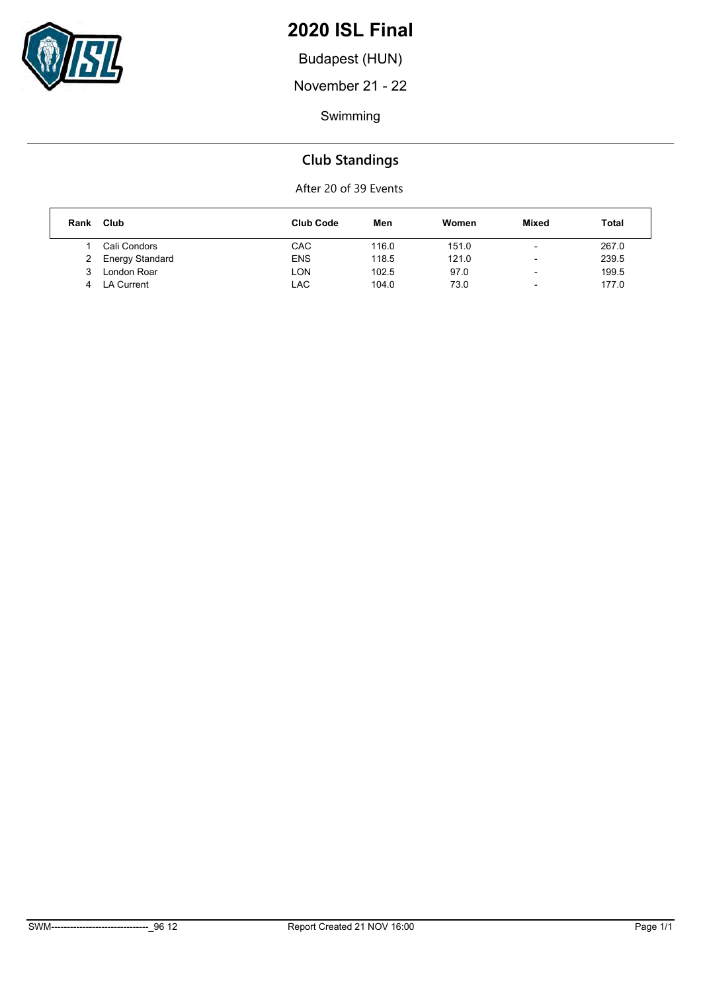

Budapest (HUN)

November 21 - 22

Swimming

## **Club Standings**

| Rank | Club            | <b>Club Code</b> | Men   | Women | Mixed                    | Total |
|------|-----------------|------------------|-------|-------|--------------------------|-------|
|      | Cali Condors    | CAC              | 116.0 | 151.0 | $\overline{\phantom{0}}$ | 267.0 |
|      | Energy Standard | <b>ENS</b>       | 118.5 | 121.0 | $\overline{\phantom{0}}$ | 239.5 |
|      | London Roar     | LON              | 102.5 | 97.0  | $\overline{\phantom{a}}$ | 199.5 |
| 4    | LA Current      | LAC              | 104.0 | 73.0  | $\overline{\phantom{0}}$ | 177.0 |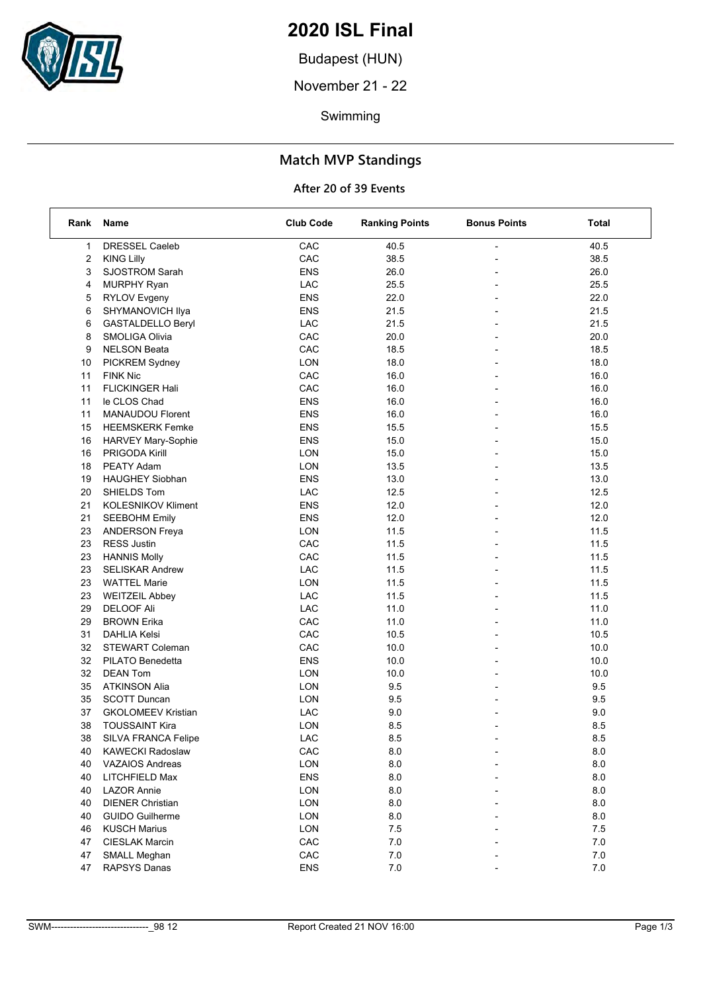

Budapest (HUN)

November 21 - 22

Swimming

## **Match MVP Standings**

| Rank | Name                      | <b>Club Code</b> | <b>Ranking Points</b> | <b>Bonus Points</b>      | Total   |
|------|---------------------------|------------------|-----------------------|--------------------------|---------|
| 1    | DRESSEL Caeleb            | CAC              | 40.5                  |                          | 40.5    |
| 2    | <b>KING Lilly</b>         | CAC              | 38.5                  |                          | 38.5    |
| 3    | SJOSTROM Sarah            | <b>ENS</b>       | 26.0                  |                          | 26.0    |
| 4    | <b>MURPHY Ryan</b>        | LAC              | 25.5                  |                          | 25.5    |
| 5    | <b>RYLOV Evgeny</b>       | <b>ENS</b>       | 22.0                  | $\overline{\phantom{0}}$ | 22.0    |
| 6    | SHYMANOVICH Ilya          | <b>ENS</b>       | 21.5                  |                          | 21.5    |
| 6    | GASTALDELLO Beryl         | ${\sf LAC}$      | 21.5                  |                          | 21.5    |
| 8    | SMOLIGA Olivia            | CAC              | 20.0                  |                          | 20.0    |
| 9    | <b>NELSON Beata</b>       | CAC              | 18.5                  |                          | 18.5    |
| 10   | PICKREM Sydney            | LON              | 18.0                  |                          | 18.0    |
| 11   | <b>FINK Nic</b>           | CAC              | 16.0                  | $\overline{\phantom{0}}$ | 16.0    |
| 11   | <b>FLICKINGER Hali</b>    | CAC              | 16.0                  |                          | 16.0    |
| 11   | le CLOS Chad              | <b>ENS</b>       | 16.0                  |                          | 16.0    |
| 11   | MANAUDOU Florent          | <b>ENS</b>       | 16.0                  |                          | 16.0    |
| 15   | <b>HEEMSKERK Femke</b>    | <b>ENS</b>       | 15.5                  |                          | 15.5    |
| 16   | <b>HARVEY Mary-Sophie</b> | <b>ENS</b>       | 15.0                  |                          | 15.0    |
| 16   | PRIGODA Kirill            | <b>LON</b>       | 15.0                  | $\overline{\phantom{a}}$ | 15.0    |
| 18   | PEATY Adam                | LON              | 13.5                  |                          | 13.5    |
| 19   | <b>HAUGHEY Siobhan</b>    | <b>ENS</b>       | 13.0                  |                          | 13.0    |
| 20   | SHIELDS Tom               | LAC              | 12.5                  | $\overline{a}$           | 12.5    |
| 21   | <b>KOLESNIKOV Kliment</b> | <b>ENS</b>       | 12.0                  |                          | 12.0    |
| 21   | <b>SEEBOHM Emily</b>      | <b>ENS</b>       | 12.0                  |                          | 12.0    |
| 23   | ANDERSON Freya            | <b>LON</b>       | 11.5                  | $\blacksquare$           | 11.5    |
| 23   | <b>RESS Justin</b>        | CAC              | 11.5                  |                          | 11.5    |
| 23   | <b>HANNIS Molly</b>       | CAC              | 11.5                  |                          | 11.5    |
| 23   | <b>SELISKAR Andrew</b>    | ${\sf LAC}$      | 11.5                  |                          | 11.5    |
| 23   | <b>WATTEL Marie</b>       | LON              | 11.5                  |                          | 11.5    |
| 23   | <b>WEITZEIL Abbey</b>     | LAC              | 11.5                  |                          | 11.5    |
| 29   | <b>DELOOF Ali</b>         | LAC              | 11.0                  | $\overline{\phantom{0}}$ | 11.0    |
| 29   | <b>BROWN Erika</b>        | CAC              | 11.0                  |                          | 11.0    |
| 31   | <b>DAHLIA Kelsi</b>       | CAC              | 10.5                  |                          | 10.5    |
| 32   | <b>STEWART Coleman</b>    | CAC              | 10.0                  |                          | 10.0    |
| 32   | PILATO Benedetta          | <b>ENS</b>       | 10.0                  |                          | 10.0    |
| 32   | <b>DEAN Tom</b>           | LON              | 10.0                  |                          | 10.0    |
| 35   | <b>ATKINSON Alia</b>      | LON              | 9.5                   | $\overline{\phantom{a}}$ | 9.5     |
| 35   | <b>SCOTT Duncan</b>       | LON              | 9.5                   |                          | 9.5     |
| 37   | <b>GKOLOMEEV Kristian</b> | LAC              | 9.0                   |                          | 9.0     |
| 38   | <b>TOUSSAINT Kira</b>     | <b>LON</b>       | 8.5                   |                          | 8.5     |
| 38   | SILVA FRANCA Felipe       | LAC              | 8.5                   |                          | 8.5     |
| 40   | <b>KAWECKI Radoslaw</b>   | CAC              | 8.0                   |                          | 8.0     |
| 40   | <b>VAZAIOS Andreas</b>    | LON              | 8.0                   |                          | 8.0     |
| 40   | LITCHFIELD Max            | <b>ENS</b>       | 8.0                   |                          | 8.0     |
| 40   | <b>LAZOR Annie</b>        | LON              | 8.0                   |                          | 8.0     |
| 40   | <b>DIENER Christian</b>   | LON              | 8.0                   |                          | 8.0     |
| 40   | <b>GUIDO Guilherme</b>    | LON              | 8.0                   |                          | 8.0     |
| 46   | <b>KUSCH Marius</b>       | LON              | 7.5                   |                          | 7.5     |
| 47   | <b>CIESLAK Marcin</b>     | CAC              | 7.0                   |                          | $7.0\,$ |
| 47   | <b>SMALL Meghan</b>       | CAC              | $7.0\,$               |                          | $7.0\,$ |
| 47   | RAPSYS Danas              | ENS              | $7.0\,$               |                          | $7.0\,$ |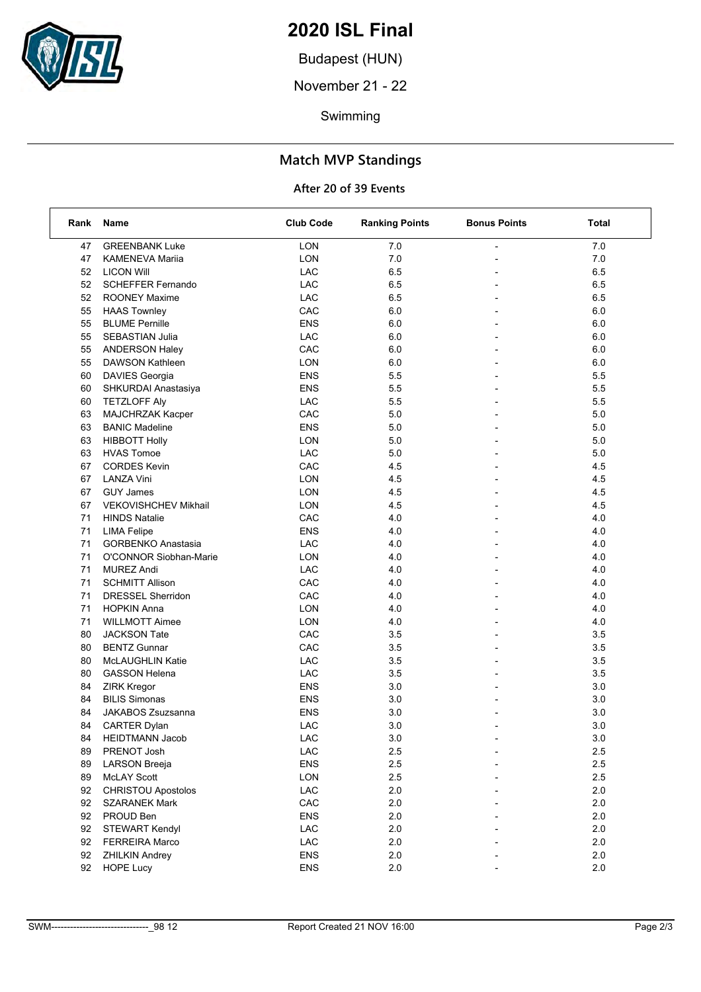

Budapest (HUN)

November 21 - 22

Swimming

## **Match MVP Standings**

| Rank | Name                        | <b>Club Code</b> | <b>Ranking Points</b> | <b>Bonus Points</b>      | Total |
|------|-----------------------------|------------------|-----------------------|--------------------------|-------|
| 47   | <b>GREENBANK Luke</b>       | LON              | 7.0                   |                          | 7.0   |
| 47   | <b>KAMENEVA Mariia</b>      | LON              | 7.0                   |                          | 7.0   |
| 52   | <b>LICON Will</b>           | LAC              | 6.5                   |                          | 6.5   |
| 52   | <b>SCHEFFER Fernando</b>    | LAC              | 6.5                   | $\overline{a}$           | 6.5   |
| 52   | <b>ROONEY Maxime</b>        | LAC              | 6.5                   |                          | 6.5   |
| 55   | <b>HAAS Townley</b>         | CAC              | 6.0                   |                          | 6.0   |
| 55   | <b>BLUME Pernille</b>       | <b>ENS</b>       | 6.0                   |                          | 6.0   |
| 55   | SEBASTIAN Julia             | LAC              | 6.0                   |                          | 6.0   |
| 55   | <b>ANDERSON Haley</b>       | CAC              | 6.0                   |                          | 6.0   |
| 55   | DAWSON Kathleen             | <b>LON</b>       | 6.0                   | $\overline{\phantom{a}}$ | 6.0   |
| 60   | DAVIES Georgia              | <b>ENS</b>       | 5.5                   |                          | 5.5   |
| 60   | SHKURDAI Anastasiya         | <b>ENS</b>       | 5.5                   |                          | 5.5   |
| 60   | <b>TETZLOFF Aly</b>         | LAC              | 5.5                   |                          | 5.5   |
| 63   | MAJCHRZAK Kacper            | CAC              | 5.0                   |                          | 5.0   |
| 63   | <b>BANIC Madeline</b>       | <b>ENS</b>       | 5.0                   |                          | 5.0   |
| 63   | <b>HIBBOTT Holly</b>        | <b>LON</b>       | 5.0                   | $\overline{\phantom{a}}$ | 5.0   |
| 63   | <b>HVAS Tomoe</b>           | LAC              | 5.0                   |                          | 5.0   |
| 67   | <b>CORDES Kevin</b>         | CAC              | 4.5                   |                          | 4.5   |
| 67   | LANZA Vini                  | <b>LON</b>       | 4.5                   | $\overline{a}$           | 4.5   |
| 67   | <b>GUY James</b>            | <b>LON</b>       | 4.5                   |                          | 4.5   |
| 67   | <b>VEKOVISHCHEV Mikhail</b> | <b>LON</b>       | 4.5                   |                          | 4.5   |
| 71   | <b>HINDS Natalie</b>        | CAC              | 4.0                   | $\overline{\phantom{a}}$ | 4.0   |
| 71   | <b>LIMA Felipe</b>          | <b>ENS</b>       | 4.0                   |                          | 4.0   |
| 71   | <b>GORBENKO Anastasia</b>   | LAC              | 4.0                   |                          | 4.0   |
| 71   | O'CONNOR Siobhan-Marie      | <b>LON</b>       | 4.0                   | $\overline{a}$           | 4.0   |
| 71   | <b>MUREZ Andi</b>           | LAC              | 4.0                   |                          | 4.0   |
| 71   | <b>SCHMITT Allison</b>      | CAC              | 4.0                   |                          | 4.0   |
| 71   | <b>DRESSEL Sherridon</b>    | CAC              | 4.0                   | $\overline{\phantom{a}}$ | 4.0   |
| 71   | <b>HOPKIN Anna</b>          | <b>LON</b>       | 4.0                   |                          | 4.0   |
| 71   | <b>WILLMOTT Aimee</b>       | LON              | 4.0                   |                          | 4.0   |
| 80   | <b>JACKSON Tate</b>         | CAC              | 3.5                   | $\overline{a}$           | 3.5   |
| 80   | <b>BENTZ Gunnar</b>         | CAC              | 3.5                   |                          | 3.5   |
| 80   | McLAUGHLIN Katie            | LAC              | 3.5                   |                          | 3.5   |
| 80   | <b>GASSON Helena</b>        | LAC              | 3.5                   | $\overline{\phantom{a}}$ | 3.5   |
| 84   | <b>ZIRK Kregor</b>          | <b>ENS</b>       | 3.0                   |                          | 3.0   |
| 84   | <b>BILIS Simonas</b>        | <b>ENS</b>       | 3.0                   |                          | 3.0   |
| 84   | JAKABOS Zsuzsanna           | <b>ENS</b>       | $3.0\,$               |                          | 3.0   |
| 84   | <b>CARTER Dylan</b>         | <b>LAC</b>       | 3.0                   |                          | 3.0   |
| 84   | HEIDTMANN Jacob             | LAC              | 3.0                   |                          | 3.0   |
| 89   | PRENOT Josh                 | LAC              | 2.5                   |                          | 2.5   |
| 89   | <b>LARSON Breeja</b>        | ENS              | 2.5                   |                          | 2.5   |
| 89   | <b>McLAY Scott</b>          | LON              | 2.5                   |                          | 2.5   |
| 92   | CHRISTOU Apostolos          | LAC              | 2.0                   |                          | 2.0   |
| 92   | <b>SZARANEK Mark</b>        | CAC              | 2.0                   |                          | 2.0   |
| 92   | PROUD Ben                   | <b>ENS</b>       | 2.0                   |                          | 2.0   |
| 92   | STEWART Kendyl              | ${\sf LAC}$      | 2.0                   |                          | 2.0   |
| 92   | <b>FERREIRA Marco</b>       | ${\sf LAC}$      | 2.0                   |                          | 2.0   |
| 92   | <b>ZHILKIN Andrey</b>       | <b>ENS</b>       | 2.0                   |                          | 2.0   |
| 92   | <b>HOPE Lucy</b>            | ENS              | 2.0                   |                          | 2.0   |